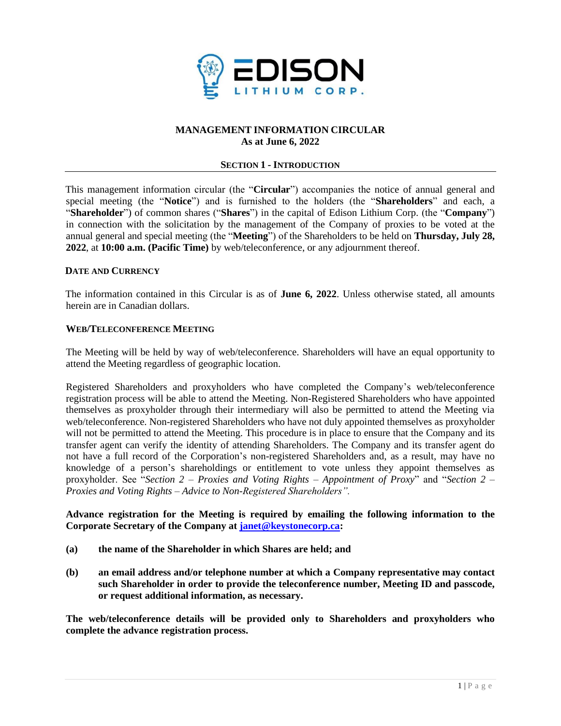

### **MANAGEMENT INFORMATION CIRCULAR As at June 6, 2022**

### **SECTION 1 - INTRODUCTION**

This management information circular (the "**Circular**") accompanies the notice of annual general and special meeting (the "**Notice**") and is furnished to the holders (the "**Shareholders**" and each, a "**Shareholder**") of common shares ("**Shares**") in the capital of Edison Lithium Corp. (the "**Company**") in connection with the solicitation by the management of the Company of proxies to be voted at the annual general and special meeting (the "**Meeting**") of the Shareholders to be held on **Thursday, July 28, 2022**, at **10:00 a.m. (Pacific Time)** by web/teleconference, or any adjournment thereof.

#### **DATE AND CURRENCY**

The information contained in this Circular is as of **June 6, 2022**. Unless otherwise stated, all amounts herein are in Canadian dollars.

### **WEB/TELECONFERENCE MEETING**

The Meeting will be held by way of web/teleconference. Shareholders will have an equal opportunity to attend the Meeting regardless of geographic location.

Registered Shareholders and proxyholders who have completed the Company's web/teleconference registration process will be able to attend the Meeting. Non-Registered Shareholders who have appointed themselves as proxyholder through their intermediary will also be permitted to attend the Meeting via web/teleconference. Non-registered Shareholders who have not duly appointed themselves as proxyholder will not be permitted to attend the Meeting. This procedure is in place to ensure that the Company and its transfer agent can verify the identity of attending Shareholders. The Company and its transfer agent do not have a full record of the Corporation's non-registered Shareholders and, as a result, may have no knowledge of a person's shareholdings or entitlement to vote unless they appoint themselves as proxyholder. See "*Section 2 – Proxies and Voting Rights – Appointment of Proxy*" and "*Section 2 – Proxies and Voting Rights – Advice to Non-Registered Shareholders".*

### **Advance registration for the Meeting is required by emailing the following information to the Corporate Secretary of the Company at [janet@keystonecorp.ca:](mailto:janet@keystonecorp.ca)**

- **(a) the name of the Shareholder in which Shares are held; and**
- **(b) an email address and/or telephone number at which a Company representative may contact such Shareholder in order to provide the teleconference number, Meeting ID and passcode, or request additional information, as necessary.**

**The web/teleconference details will be provided only to Shareholders and proxyholders who complete the advance registration process.**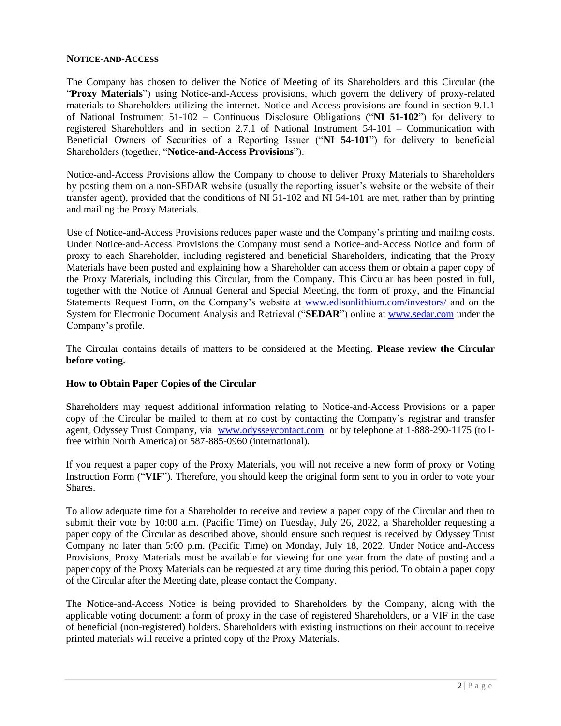### **NOTICE-AND-ACCESS**

The Company has chosen to deliver the Notice of Meeting of its Shareholders and this Circular (the "**Proxy Materials**") using Notice-and-Access provisions, which govern the delivery of proxy-related materials to Shareholders utilizing the internet. Notice-and-Access provisions are found in section 9.1.1 of National Instrument 51-102 – Continuous Disclosure Obligations ("**NI 51-102**") for delivery to registered Shareholders and in section 2.7.1 of National Instrument 54-101 – Communication with Beneficial Owners of Securities of a Reporting Issuer ("**NI 54-101**") for delivery to beneficial Shareholders (together, "**Notice-and-Access Provisions**").

Notice-and-Access Provisions allow the Company to choose to deliver Proxy Materials to Shareholders by posting them on a non-SEDAR website (usually the reporting issuer's website or the website of their transfer agent), provided that the conditions of NI 51-102 and NI 54-101 are met, rather than by printing and mailing the Proxy Materials.

Use of Notice-and-Access Provisions reduces paper waste and the Company's printing and mailing costs. Under Notice-and-Access Provisions the Company must send a Notice-and-Access Notice and form of proxy to each Shareholder, including registered and beneficial Shareholders, indicating that the Proxy Materials have been posted and explaining how a Shareholder can access them or obtain a paper copy of the Proxy Materials, including this Circular, from the Company. This Circular has been posted in full, together with the Notice of Annual General and Special Meeting, the form of proxy, and the Financial Statements Request Form, on the Company's website at [www.edisonlithium.com/investors/](http://www.edisonlithium.com/investors/) and on the System for Electronic Document Analysis and Retrieval ("**SEDAR**") online at [www.sedar.com](http://www.sedar.com/) under the Company's profile.

The Circular contains details of matters to be considered at the Meeting. **Please review the Circular before voting.**

### **How to Obtain Paper Copies of the Circular**

Shareholders may request additional information relating to Notice-and-Access Provisions or a paper copy of the Circular be mailed to them at no cost by contacting the Company's registrar and transfer agent, Odyssey Trust Company, via [www.odysseycontact.com](http://www.odysseycontact.com/) or by telephone at 1-888-290-1175 (tollfree within North America) or 587-885-0960 (international).

If you request a paper copy of the Proxy Materials, you will not receive a new form of proxy or Voting Instruction Form ("**VIF**"). Therefore, you should keep the original form sent to you in order to vote your Shares.

To allow adequate time for a Shareholder to receive and review a paper copy of the Circular and then to submit their vote by 10:00 a.m. (Pacific Time) on Tuesday, July 26, 2022, a Shareholder requesting a paper copy of the Circular as described above, should ensure such request is received by Odyssey Trust Company no later than 5:00 p.m. (Pacific Time) on Monday, July 18, 2022. Under Notice and-Access Provisions, Proxy Materials must be available for viewing for one year from the date of posting and a paper copy of the Proxy Materials can be requested at any time during this period. To obtain a paper copy of the Circular after the Meeting date, please contact the Company.

The Notice-and-Access Notice is being provided to Shareholders by the Company, along with the applicable voting document: a form of proxy in the case of registered Shareholders, or a VIF in the case of beneficial (non-registered) holders. Shareholders with existing instructions on their account to receive printed materials will receive a printed copy of the Proxy Materials.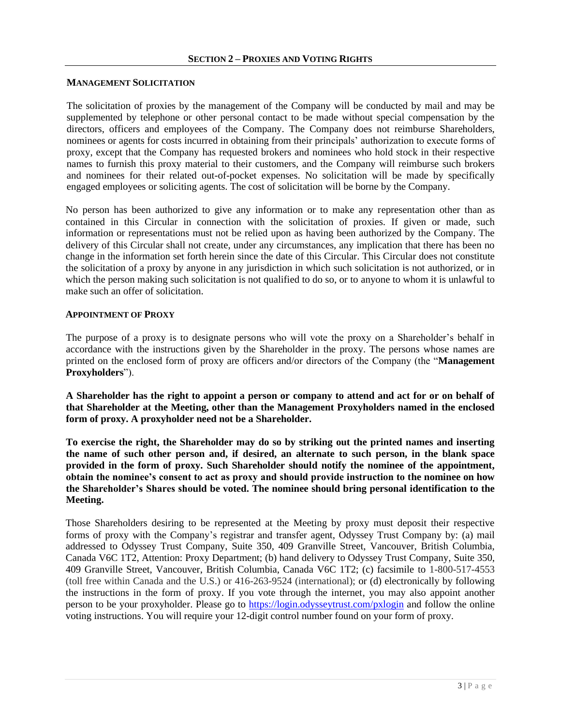#### **MANAGEMENT SOLICITATION**

The solicitation of proxies by the management of the Company will be conducted by mail and may be supplemented by telephone or other personal contact to be made without special compensation by the directors, officers and employees of the Company. The Company does not reimburse Shareholders, nominees or agents for costs incurred in obtaining from their principals' authorization to execute forms of proxy, except that the Company has requested brokers and nominees who hold stock in their respective names to furnish this proxy material to their customers, and the Company will reimburse such brokers and nominees for their related out-of-pocket expenses. No solicitation will be made by specifically engaged employees or soliciting agents. The cost of solicitation will be borne by the Company.

No person has been authorized to give any information or to make any representation other than as contained in this Circular in connection with the solicitation of proxies. If given or made, such information or representations must not be relied upon as having been authorized by the Company. The delivery of this Circular shall not create, under any circumstances, any implication that there has been no change in the information set forth herein since the date of this Circular. This Circular does not constitute the solicitation of a proxy by anyone in any jurisdiction in which such solicitation is not authorized, or in which the person making such solicitation is not qualified to do so, or to anyone to whom it is unlawful to make such an offer of solicitation.

### **APPOINTMENT OF PROXY**

The purpose of a proxy is to designate persons who will vote the proxy on a Shareholder's behalf in accordance with the instructions given by the Shareholder in the proxy. The persons whose names are printed on the enclosed form of proxy are officers and/or directors of the Company (the "**Management Proxyholders**").

**A Shareholder has the right to appoint a person or company to attend and act for or on behalf of that Shareholder at the Meeting, other than the Management Proxyholders named in the enclosed form of proxy. A proxyholder need not be a Shareholder.**

**To exercise the right, the Shareholder may do so by striking out the printed names and inserting the name of such other person and, if desired, an alternate to such person, in the blank space provided in the form of proxy. Such Shareholder should notify the nominee of the appointment, obtain the nominee's consent to act as proxy and should provide instruction to the nominee on how the Shareholder's Shares should be voted. The nominee should bring personal identification to the Meeting.**

Those Shareholders desiring to be represented at the Meeting by proxy must deposit their respective forms of proxy with the Company's registrar and transfer agent, Odyssey Trust Company by: (a) mail addressed to Odyssey Trust Company, Suite 350, 409 Granville Street, Vancouver, British Columbia, Canada V6C 1T2, Attention: Proxy Department; (b) hand delivery to Odyssey Trust Company, Suite 350, 409 Granville Street, Vancouver, British Columbia, Canada V6C 1T2; (c) facsimile to 1-800-517-4553 (toll free within Canada and the U.S.) or 416-263-9524 (international); or (d) electronically by following the instructions in the form of proxy. If you vote through the internet, you may also appoint another person to be your proxyholder. Please go to<https://login.odysseytrust.com/pxlogin> and follow the online voting instructions. You will require your 12-digit control number found on your form of proxy.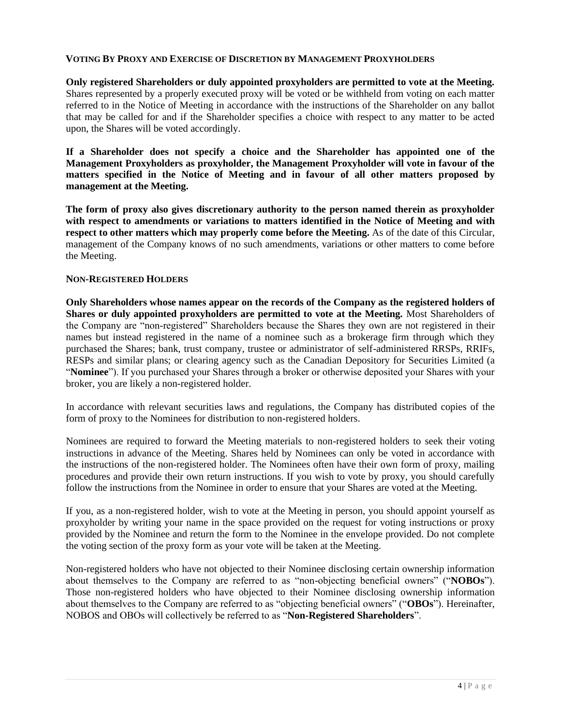### **VOTING BY PROXY AND EXERCISE OF DISCRETION BY MANAGEMENT PROXYHOLDERS**

**Only registered Shareholders or duly appointed proxyholders are permitted to vote at the Meeting.**  Shares represented by a properly executed proxy will be voted or be withheld from voting on each matter referred to in the Notice of Meeting in accordance with the instructions of the Shareholder on any ballot that may be called for and if the Shareholder specifies a choice with respect to any matter to be acted upon, the Shares will be voted accordingly.

**If a Shareholder does not specify a choice and the Shareholder has appointed one of the Management Proxyholders as proxyholder, the Management Proxyholder will vote in favour of the matters specified in the Notice of Meeting and in favour of all other matters proposed by management at the Meeting.** 

**The form of proxy also gives discretionary authority to the person named therein as proxyholder with respect to amendments or variations to matters identified in the Notice of Meeting and with respect to other matters which may properly come before the Meeting.** As of the date of this Circular, management of the Company knows of no such amendments, variations or other matters to come before the Meeting.

#### **NON-REGISTERED HOLDERS**

**Only Shareholders whose names appear on the records of the Company as the registered holders of Shares or duly appointed proxyholders are permitted to vote at the Meeting.** Most Shareholders of the Company are "non-registered" Shareholders because the Shares they own are not registered in their names but instead registered in the name of a nominee such as a brokerage firm through which they purchased the Shares; bank, trust company, trustee or administrator of self-administered RRSPs, RRIFs, RESPs and similar plans; or clearing agency such as the Canadian Depository for Securities Limited (a "**Nominee**"). If you purchased your Shares through a broker or otherwise deposited your Shares with your broker, you are likely a non-registered holder.

In accordance with relevant securities laws and regulations, the Company has distributed copies of the form of proxy to the Nominees for distribution to non-registered holders.

Nominees are required to forward the Meeting materials to non-registered holders to seek their voting instructions in advance of the Meeting. Shares held by Nominees can only be voted in accordance with the instructions of the non-registered holder. The Nominees often have their own form of proxy, mailing procedures and provide their own return instructions. If you wish to vote by proxy, you should carefully follow the instructions from the Nominee in order to ensure that your Shares are voted at the Meeting.

If you, as a non-registered holder, wish to vote at the Meeting in person, you should appoint yourself as proxyholder by writing your name in the space provided on the request for voting instructions or proxy provided by the Nominee and return the form to the Nominee in the envelope provided. Do not complete the voting section of the proxy form as your vote will be taken at the Meeting.

Non-registered holders who have not objected to their Nominee disclosing certain ownership information about themselves to the Company are referred to as "non-objecting beneficial owners" ("**NOBOs**"). Those non-registered holders who have objected to their Nominee disclosing ownership information about themselves to the Company are referred to as "objecting beneficial owners" ("**OBOs**"). Hereinafter, NOBOS and OBOs will collectively be referred to as "**Non-Registered Shareholders**".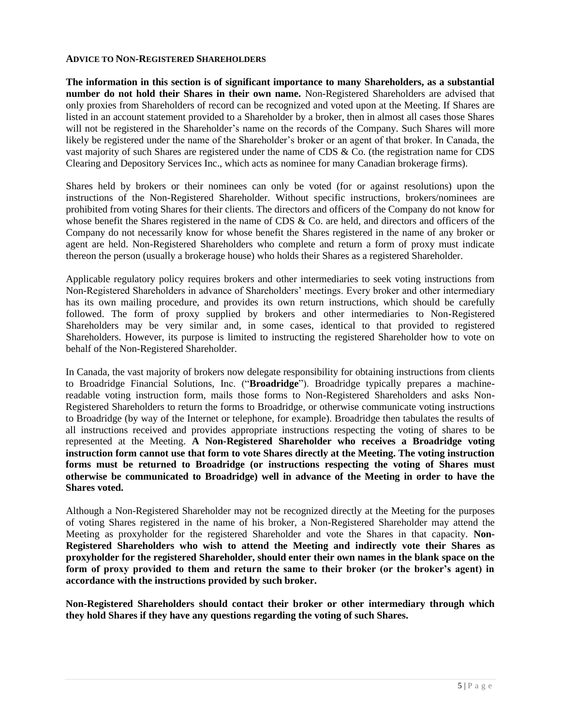#### **ADVICE TO NON-REGISTERED SHAREHOLDERS**

**The information in this section is of significant importance to many Shareholders, as a substantial number do not hold their Shares in their own name.** Non-Registered Shareholders are advised that only proxies from Shareholders of record can be recognized and voted upon at the Meeting. If Shares are listed in an account statement provided to a Shareholder by a broker, then in almost all cases those Shares will not be registered in the Shareholder's name on the records of the Company. Such Shares will more likely be registered under the name of the Shareholder's broker or an agent of that broker. In Canada, the vast majority of such Shares are registered under the name of CDS & Co. (the registration name for CDS Clearing and Depository Services Inc., which acts as nominee for many Canadian brokerage firms).

Shares held by brokers or their nominees can only be voted (for or against resolutions) upon the instructions of the Non-Registered Shareholder. Without specific instructions, brokers/nominees are prohibited from voting Shares for their clients. The directors and officers of the Company do not know for whose benefit the Shares registered in the name of CDS & Co. are held, and directors and officers of the Company do not necessarily know for whose benefit the Shares registered in the name of any broker or agent are held. Non-Registered Shareholders who complete and return a form of proxy must indicate thereon the person (usually a brokerage house) who holds their Shares as a registered Shareholder.

Applicable regulatory policy requires brokers and other intermediaries to seek voting instructions from Non-Registered Shareholders in advance of Shareholders' meetings. Every broker and other intermediary has its own mailing procedure, and provides its own return instructions, which should be carefully followed. The form of proxy supplied by brokers and other intermediaries to Non-Registered Shareholders may be very similar and, in some cases, identical to that provided to registered Shareholders. However, its purpose is limited to instructing the registered Shareholder how to vote on behalf of the Non-Registered Shareholder.

In Canada, the vast majority of brokers now delegate responsibility for obtaining instructions from clients to Broadridge Financial Solutions, Inc. ("**Broadridge**"). Broadridge typically prepares a machinereadable voting instruction form, mails those forms to Non-Registered Shareholders and asks Non-Registered Shareholders to return the forms to Broadridge, or otherwise communicate voting instructions to Broadridge (by way of the Internet or telephone, for example). Broadridge then tabulates the results of all instructions received and provides appropriate instructions respecting the voting of shares to be represented at the Meeting. **A Non-Registered Shareholder who receives a Broadridge voting instruction form cannot use that form to vote Shares directly at the Meeting. The voting instruction forms must be returned to Broadridge (or instructions respecting the voting of Shares must otherwise be communicated to Broadridge) well in advance of the Meeting in order to have the Shares voted.**

Although a Non-Registered Shareholder may not be recognized directly at the Meeting for the purposes of voting Shares registered in the name of his broker, a Non-Registered Shareholder may attend the Meeting as proxyholder for the registered Shareholder and vote the Shares in that capacity. **Non-Registered Shareholders who wish to attend the Meeting and indirectly vote their Shares as proxyholder for the registered Shareholder, should enter their own names in the blank space on the form of proxy provided to them and return the same to their broker (or the broker's agent) in accordance with the instructions provided by such broker.** 

**Non-Registered Shareholders should contact their broker or other intermediary through which they hold Shares if they have any questions regarding the voting of such Shares.**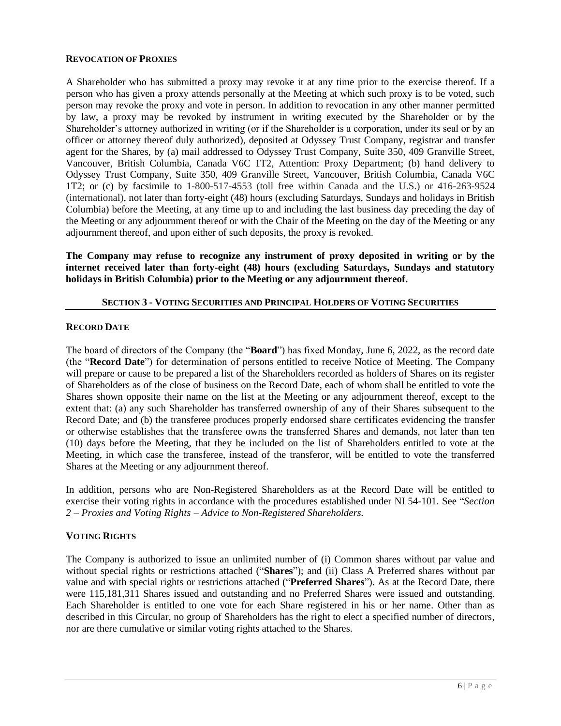#### **REVOCATION OF PROXIES**

A Shareholder who has submitted a proxy may revoke it at any time prior to the exercise thereof. If a person who has given a proxy attends personally at the Meeting at which such proxy is to be voted, such person may revoke the proxy and vote in person. In addition to revocation in any other manner permitted by law, a proxy may be revoked by instrument in writing executed by the Shareholder or by the Shareholder's attorney authorized in writing (or if the Shareholder is a corporation, under its seal or by an officer or attorney thereof duly authorized), deposited at Odyssey Trust Company, registrar and transfer agent for the Shares, by (a) mail addressed to Odyssey Trust Company, Suite 350, 409 Granville Street, Vancouver, British Columbia, Canada V6C 1T2, Attention: Proxy Department; (b) hand delivery to Odyssey Trust Company, Suite 350, 409 Granville Street, Vancouver, British Columbia, Canada V6C 1T2; or (c) by facsimile to 1-800-517-4553 (toll free within Canada and the U.S.) or 416-263-9524 (international), not later than forty-eight (48) hours (excluding Saturdays, Sundays and holidays in British Columbia) before the Meeting, at any time up to and including the last business day preceding the day of the Meeting or any adjournment thereof or with the Chair of the Meeting on the day of the Meeting or any adjournment thereof, and upon either of such deposits, the proxy is revoked.

**The Company may refuse to recognize any instrument of proxy deposited in writing or by the internet received later than forty-eight (48) hours (excluding Saturdays, Sundays and statutory holidays in British Columbia) prior to the Meeting or any adjournment thereof.**

### **SECTION 3 - VOTING SECURITIES AND PRINCIPAL HOLDERS OF VOTING SECURITIES**

### **RECORD DATE**

The board of directors of the Company (the "**Board**") has fixed Monday, June 6, 2022, as the record date (the "**Record Date**") for determination of persons entitled to receive Notice of Meeting. The Company will prepare or cause to be prepared a list of the Shareholders recorded as holders of Shares on its register of Shareholders as of the close of business on the Record Date, each of whom shall be entitled to vote the Shares shown opposite their name on the list at the Meeting or any adjournment thereof, except to the extent that: (a) any such Shareholder has transferred ownership of any of their Shares subsequent to the Record Date; and (b) the transferee produces properly endorsed share certificates evidencing the transfer or otherwise establishes that the transferee owns the transferred Shares and demands, not later than ten (10) days before the Meeting, that they be included on the list of Shareholders entitled to vote at the Meeting, in which case the transferee, instead of the transferor, will be entitled to vote the transferred Shares at the Meeting or any adjournment thereof.

In addition, persons who are Non-Registered Shareholders as at the Record Date will be entitled to exercise their voting rights in accordance with the procedures established under NI 54-101. See "*Section 2 – Proxies and Voting Rights – Advice to Non-Registered Shareholders.*

### **VOTING RIGHTS**

The Company is authorized to issue an unlimited number of (i) Common shares without par value and without special rights or restrictions attached ("**Shares**"); and (ii) Class A Preferred shares without par value and with special rights or restrictions attached ("**Preferred Shares**"). As at the Record Date, there were 115,181,311 Shares issued and outstanding and no Preferred Shares were issued and outstanding. Each Shareholder is entitled to one vote for each Share registered in his or her name. Other than as described in this Circular, no group of Shareholders has the right to elect a specified number of directors, nor are there cumulative or similar voting rights attached to the Shares.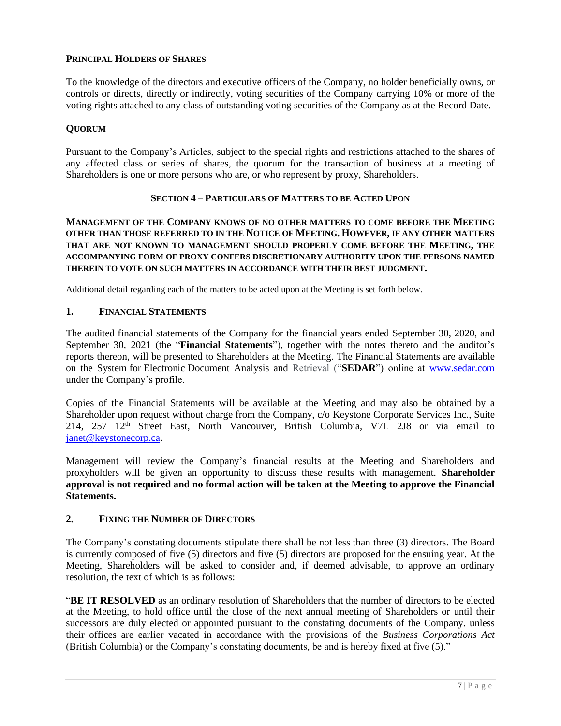# **PRINCIPAL HOLDERS OF SHARES**

To the knowledge of the directors and executive officers of the Company, no holder beneficially owns, or controls or directs, directly or indirectly, voting securities of the Company carrying 10% or more of the voting rights attached to any class of outstanding voting securities of the Company as at the Record Date.

### **QUORUM**

Pursuant to the Company's Articles, subject to the special rights and restrictions attached to the shares of any affected class or series of shares, the quorum for the transaction of business at a meeting of Shareholders is one or more persons who are, or who represent by proxy, Shareholders.

### **SECTION 4 – PARTICULARS OF MATTERS TO BE ACTED UPON**

**MANAGEMENT OF THE COMPANY KNOWS OF NO OTHER MATTERS TO COME BEFORE THE MEETING OTHER THAN THOSE REFERRED TO IN THE NOTICE OF MEETING. HOWEVER, IF ANY OTHER MATTERS THAT ARE NOT KNOWN TO MANAGEMENT SHOULD PROPERLY COME BEFORE THE MEETING, THE ACCOMPANYING FORM OF PROXY CONFERS DISCRETIONARY AUTHORITY UPON THE PERSONS NAMED THEREIN TO VOTE ON SUCH MATTERS IN ACCORDANCE WITH THEIR BEST JUDGMENT.**

Additional detail regarding each of the matters to be acted upon at the Meeting is set forth below.

### **1. FINANCIAL STATEMENTS**

The audited financial statements of the Company for the financial years ended September 30, 2020, and September 30, 2021 (the "**Financial Statements**"), together with the notes thereto and the auditor's reports thereon, will be presented to Shareholders at the Meeting. The Financial Statements are available on the System for Electronic Document Analysis and Retrieval ("**SEDAR**") online at [www.sedar.com](http://www.sedar.com/) under the Company's profile.

Copies of the Financial Statements will be available at the Meeting and may also be obtained by a Shareholder upon request without charge from the Company, c/o Keystone Corporate Services Inc., Suite 214, 257 12<sup>th</sup> Street East, North Vancouver, British Columbia, V7L 2J8 or via email to [janet@keystonecorp.ca.](mailto:janet@keystonecorp.ca)

Management will review the Company's financial results at the Meeting and Shareholders and proxyholders will be given an opportunity to discuss these results with management. **Shareholder approval is not required and no formal action will be taken at the Meeting to approve the Financial Statements.** 

## **2. FIXING THE NUMBER OF DIRECTORS**

The Company's constating documents stipulate there shall be not less than three (3) directors. The Board is currently composed of five (5) directors and five (5) directors are proposed for the ensuing year. At the Meeting, Shareholders will be asked to consider and, if deemed advisable, to approve an ordinary resolution, the text of which is as follows:

"**BE IT RESOLVED** as an ordinary resolution of Shareholders that the number of directors to be elected at the Meeting, to hold office until the close of the next annual meeting of Shareholders or until their successors are duly elected or appointed pursuant to the constating documents of the Company. unless their offices are earlier vacated in accordance with the provisions of the *Business Corporations Act*  (British Columbia) or the Company's constating documents, be and is hereby fixed at five (5)."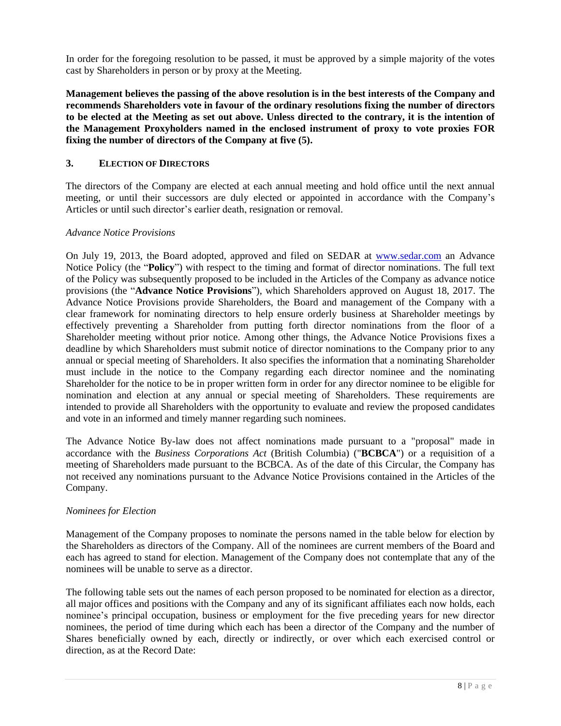In order for the foregoing resolution to be passed, it must be approved by a simple majority of the votes cast by Shareholders in person or by proxy at the Meeting.

**Management believes the passing of the above resolution is in the best interests of the Company and recommends Shareholders vote in favour of the ordinary resolutions fixing the number of directors to be elected at the Meeting as set out above. Unless directed to the contrary, it is the intention of the Management Proxyholders named in the enclosed instrument of proxy to vote proxies FOR fixing the number of directors of the Company at five (5).**

## **3. ELECTION OF DIRECTORS**

The directors of the Company are elected at each annual meeting and hold office until the next annual meeting, or until their successors are duly elected or appointed in accordance with the Company's Articles or until such director's earlier death, resignation or removal.

### *Advance Notice Provisions*

On July 19, 2013, the Board adopted, approved and filed on SEDAR at [www.sedar.com](http://www.sedar.com/) an Advance Notice Policy (the "**Policy**") with respect to the timing and format of director nominations. The full text of the Policy was subsequently proposed to be included in the Articles of the Company as advance notice provisions (the "**Advance Notice Provisions**"), which Shareholders approved on August 18, 2017. The Advance Notice Provisions provide Shareholders, the Board and management of the Company with a clear framework for nominating directors to help ensure orderly business at Shareholder meetings by effectively preventing a Shareholder from putting forth director nominations from the floor of a Shareholder meeting without prior notice. Among other things, the Advance Notice Provisions fixes a deadline by which Shareholders must submit notice of director nominations to the Company prior to any annual or special meeting of Shareholders. It also specifies the information that a nominating Shareholder must include in the notice to the Company regarding each director nominee and the nominating Shareholder for the notice to be in proper written form in order for any director nominee to be eligible for nomination and election at any annual or special meeting of Shareholders. These requirements are intended to provide all Shareholders with the opportunity to evaluate and review the proposed candidates and vote in an informed and timely manner regarding such nominees.

The Advance Notice By-law does not affect nominations made pursuant to a "proposal" made in accordance with the *Business Corporations Act* (British Columbia) ("**BCBCA**") or a requisition of a meeting of Shareholders made pursuant to the BCBCA. As of the date of this Circular, the Company has not received any nominations pursuant to the Advance Notice Provisions contained in the Articles of the Company.

### *Nominees for Election*

Management of the Company proposes to nominate the persons named in the table below for election by the Shareholders as directors of the Company. All of the nominees are current members of the Board and each has agreed to stand for election. Management of the Company does not contemplate that any of the nominees will be unable to serve as a director.

The following table sets out the names of each person proposed to be nominated for election as a director, all major offices and positions with the Company and any of its significant affiliates each now holds, each nominee's principal occupation, business or employment for the five preceding years for new director nominees, the period of time during which each has been a director of the Company and the number of Shares beneficially owned by each, directly or indirectly, or over which each exercised control or direction, as at the Record Date: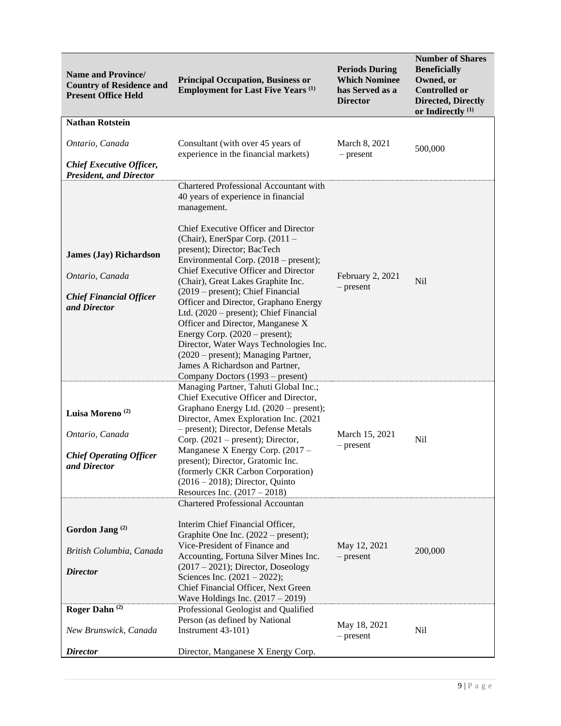| <b>Name and Province/</b><br><b>Country of Residence and</b><br><b>Present Office Held</b>         | <b>Principal Occupation, Business or</b><br><b>Employment for Last Five Years (1)</b>                                                                                                                                                                                                                                                                                                                                                                                                                                                                                                                                                                                                   | <b>Periods During</b><br><b>Which Nominee</b><br>has Served as a<br><b>Director</b> | <b>Number of Shares</b><br><b>Beneficially</b><br>Owned, or<br><b>Controlled or</b><br><b>Directed, Directly</b><br>or Indirectly <sup>(1)</sup> |
|----------------------------------------------------------------------------------------------------|-----------------------------------------------------------------------------------------------------------------------------------------------------------------------------------------------------------------------------------------------------------------------------------------------------------------------------------------------------------------------------------------------------------------------------------------------------------------------------------------------------------------------------------------------------------------------------------------------------------------------------------------------------------------------------------------|-------------------------------------------------------------------------------------|--------------------------------------------------------------------------------------------------------------------------------------------------|
| <b>Nathan Rotstein</b>                                                                             |                                                                                                                                                                                                                                                                                                                                                                                                                                                                                                                                                                                                                                                                                         |                                                                                     |                                                                                                                                                  |
| Ontario, Canada<br><b>Chief Executive Officer,</b><br><b>President, and Director</b>               | Consultant (with over 45 years of<br>experience in the financial markets)                                                                                                                                                                                                                                                                                                                                                                                                                                                                                                                                                                                                               | March 8, 2021<br>$-$ present                                                        | 500,000                                                                                                                                          |
| <b>James (Jay) Richardson</b><br>Ontario, Canada<br><b>Chief Financial Officer</b><br>and Director | Chartered Professional Accountant with<br>40 years of experience in financial<br>management.<br>Chief Executive Officer and Director<br>(Chair), EnerSpar Corp. (2011 -<br>present); Director; BacTech<br>Environmental Corp. (2018 – present);<br>Chief Executive Officer and Director<br>(Chair), Great Lakes Graphite Inc.<br>(2019 – present); Chief Financial<br>Officer and Director, Graphano Energy<br>Ltd. (2020 – present); Chief Financial<br>Officer and Director, Manganese X<br>Energy Corp. $(2020 - present)$ ;<br>Director, Water Ways Technologies Inc.<br>(2020 – present); Managing Partner,<br>James A Richardson and Partner,<br>Company Doctors (1993 – present) | February 2, 2021<br>$-$ present                                                     | <b>Nil</b>                                                                                                                                       |
| Luisa Moreno <sup>(2)</sup><br>Ontario, Canada<br><b>Chief Operating Officer</b><br>and Director   | Managing Partner, Tahuti Global Inc.;<br>Chief Executive Officer and Director,<br>Graphano Energy Ltd. (2020 – present);<br>Director, Amex Exploration Inc. (2021<br>- present); Director, Defense Metals<br>Corp. $(2021 - present)$ ; Director,<br>Manganese X Energy Corp. (2017 –<br>present); Director, Gratomic Inc.<br>(formerly CKR Carbon Corporation)<br>$(2016 - 2018)$ ; Director, Quinto<br>Resources Inc. $(2017 - 2018)$                                                                                                                                                                                                                                                 | March 15, 2021<br>$-$ present                                                       | Nil                                                                                                                                              |
| Gordon Jang <sup>(2)</sup><br>British Columbia, Canada<br><b>Director</b>                          | <b>Chartered Professional Accountan</b><br>Interim Chief Financial Officer,<br>Graphite One Inc. (2022 – present);<br>Vice-President of Finance and<br>Accounting, Fortuna Silver Mines Inc.<br>$(2017 – 2021)$ ; Director, Doseology<br>Sciences Inc. $(2021 - 2022)$ ;<br>Chief Financial Officer, Next Green                                                                                                                                                                                                                                                                                                                                                                         | May 12, 2021<br>$-$ present                                                         | 200,000                                                                                                                                          |
| Roger Dahn <sup>(2)</sup><br>New Brunswick, Canada<br><b>Director</b>                              | Wave Holdings Inc. $(2017 - 2019)$<br>Professional Geologist and Qualified<br>Person (as defined by National<br>Instrument 43-101)<br>Director, Manganese X Energy Corp.                                                                                                                                                                                                                                                                                                                                                                                                                                                                                                                | May 18, 2021<br>$-$ present                                                         | Nil                                                                                                                                              |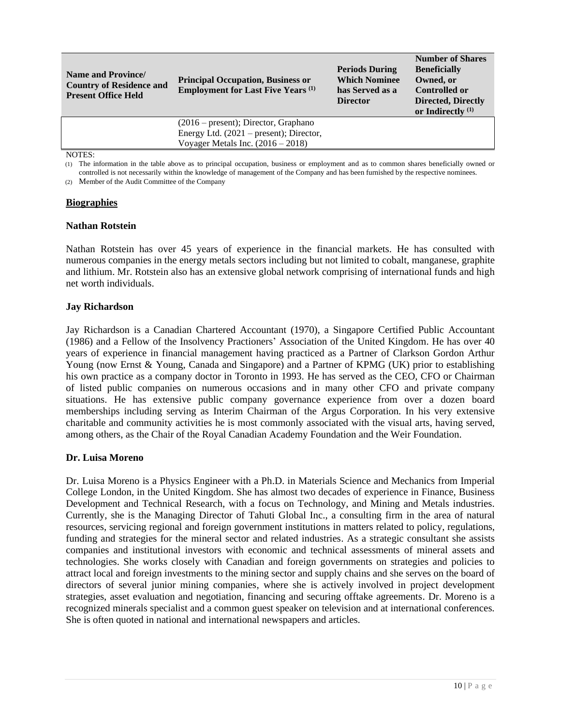| <b>Name and Province</b><br><b>Country of Residence and</b><br><b>Present Office Held</b> | <b>Principal Occupation, Business or</b><br><b>Employment for Last Five Years</b> <sup>(1)</sup> | <b>Periods During</b><br><b>Which Nominee</b><br>has Served as a<br><b>Director</b> | <b>Number of Shares</b><br><b>Beneficially</b><br>Owned, or<br><b>Controlled or</b><br><b>Directed, Directly</b><br>or Indirectly $(1)$ |
|-------------------------------------------------------------------------------------------|--------------------------------------------------------------------------------------------------|-------------------------------------------------------------------------------------|-----------------------------------------------------------------------------------------------------------------------------------------|
|                                                                                           | $(2016 - present)$ ; Director, Graphano                                                          |                                                                                     |                                                                                                                                         |
|                                                                                           | Energy Ltd. $(2021 - present)$ ; Director,                                                       |                                                                                     |                                                                                                                                         |
|                                                                                           | Voyager Metals Inc. $(2016 - 2018)$                                                              |                                                                                     |                                                                                                                                         |
| NTQ                                                                                       |                                                                                                  |                                                                                     |                                                                                                                                         |

NOTES:

(1) The information in the table above as to principal occupation, business or employment and as to common shares beneficially owned or controlled is not necessarily within the knowledge of management of the Company and has been furnished by the respective nominees.

(2) Member of the Audit Committee of the Company

#### **Biographies**

#### **Nathan Rotstein**

Nathan Rotstein has over 45 years of experience in the financial markets. He has consulted with numerous companies in the energy metals sectors including but not limited to cobalt, manganese, graphite and lithium. Mr. Rotstein also has an extensive global network comprising of international funds and high net worth individuals.

#### **Jay Richardson**

Jay Richardson is a Canadian Chartered Accountant (1970), a Singapore Certified Public Accountant (1986) and a Fellow of the Insolvency Practioners' Association of the United Kingdom. He has over 40 years of experience in financial management having practiced as a Partner of Clarkson Gordon Arthur Young (now Ernst & Young, Canada and Singapore) and a Partner of KPMG (UK) prior to establishing his own practice as a company doctor in Toronto in 1993. He has served as the CEO, CFO or Chairman of listed public companies on numerous occasions and in many other CFO and private company situations. He has extensive public company governance experience from over a dozen board memberships including serving as Interim Chairman of the Argus Corporation. In his very extensive charitable and community activities he is most commonly associated with the visual arts, having served, among others, as the Chair of the Royal Canadian Academy Foundation and the Weir Foundation.

#### **Dr. Luisa Moreno**

Dr. Luisa Moreno is a Physics Engineer with a Ph.D. in Materials Science and Mechanics from Imperial College London, in the United Kingdom. She has almost two decades of experience in Finance, Business Development and Technical Research, with a focus on Technology, and Mining and Metals industries. Currently, she is the Managing Director of Tahuti Global Inc., a consulting firm in the area of natural resources, servicing regional and foreign government institutions in matters related to policy, regulations, funding and strategies for the mineral sector and related industries. As a strategic consultant she assists companies and institutional investors with economic and technical assessments of mineral assets and technologies. She works closely with Canadian and foreign governments on strategies and policies to attract local and foreign investments to the mining sector and supply chains and she serves on the board of directors of several junior mining companies, where she is actively involved in project development strategies, asset evaluation and negotiation, financing and securing offtake agreements. Dr. Moreno is a recognized minerals specialist and a common guest speaker on television and at international conferences. She is often quoted in national and international newspapers and articles.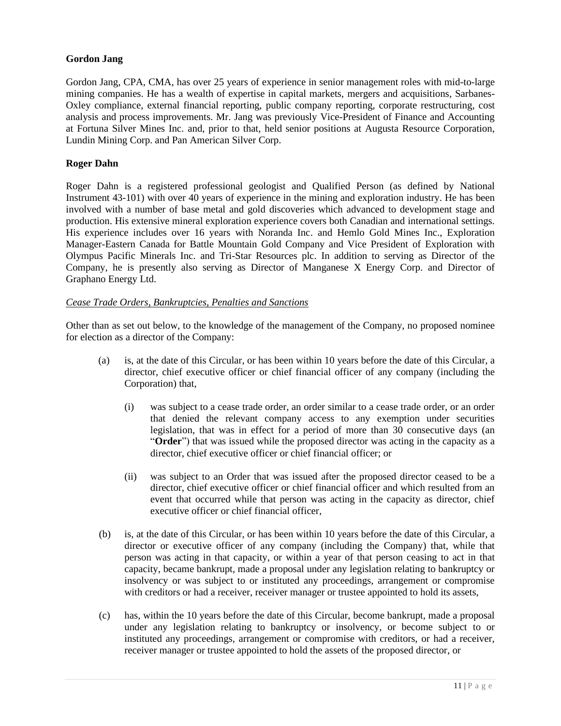## **Gordon Jang**

Gordon Jang, CPA, CMA, has over 25 years of experience in senior management roles with mid-to-large mining companies. He has a wealth of expertise in capital markets, mergers and acquisitions, Sarbanes-Oxley compliance, external financial reporting, public company reporting, corporate restructuring, cost analysis and process improvements. Mr. Jang was previously Vice-President of Finance and Accounting at Fortuna Silver Mines Inc. and, prior to that, held senior positions at Augusta Resource Corporation, Lundin Mining Corp. and Pan American Silver Corp.

### **Roger Dahn**

Roger Dahn is a registered professional geologist and Qualified Person (as defined by National Instrument 43-101) with over 40 years of experience in the mining and exploration industry. He has been involved with a number of base metal and gold discoveries which advanced to development stage and production. His extensive mineral exploration experience covers both Canadian and international settings. His experience includes over 16 years with Noranda Inc. and Hemlo Gold Mines Inc., Exploration Manager-Eastern Canada for Battle Mountain Gold Company and Vice President of Exploration with Olympus Pacific Minerals Inc. and Tri-Star Resources plc. In addition to serving as Director of the Company, he is presently also serving as Director of Manganese X Energy Corp. and Director of Graphano Energy Ltd.

### *Cease Trade Orders, Bankruptcies, Penalties and Sanctions*

Other than as set out below, to the knowledge of the management of the Company, no proposed nominee for election as a director of the Company:

- (a) is, at the date of this Circular, or has been within 10 years before the date of this Circular, a director, chief executive officer or chief financial officer of any company (including the Corporation) that,
	- (i) was subject to a cease trade order, an order similar to a cease trade order, or an order that denied the relevant company access to any exemption under securities legislation, that was in effect for a period of more than 30 consecutive days (an "**Order**") that was issued while the proposed director was acting in the capacity as a director, chief executive officer or chief financial officer; or
	- (ii) was subject to an Order that was issued after the proposed director ceased to be a director, chief executive officer or chief financial officer and which resulted from an event that occurred while that person was acting in the capacity as director, chief executive officer or chief financial officer,
- (b) is, at the date of this Circular, or has been within 10 years before the date of this Circular, a director or executive officer of any company (including the Company) that, while that person was acting in that capacity, or within a year of that person ceasing to act in that capacity, became bankrupt, made a proposal under any legislation relating to bankruptcy or insolvency or was subject to or instituted any proceedings, arrangement or compromise with creditors or had a receiver, receiver manager or trustee appointed to hold its assets,
- (c) has, within the 10 years before the date of this Circular, become bankrupt, made a proposal under any legislation relating to bankruptcy or insolvency, or become subject to or instituted any proceedings, arrangement or compromise with creditors, or had a receiver, receiver manager or trustee appointed to hold the assets of the proposed director, or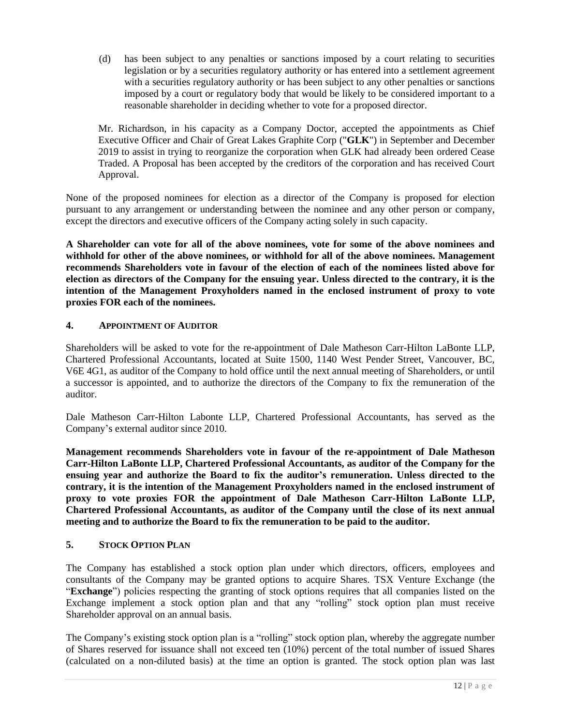(d) has been subject to any penalties or sanctions imposed by a court relating to securities legislation or by a securities regulatory authority or has entered into a settlement agreement with a securities regulatory authority or has been subject to any other penalties or sanctions imposed by a court or regulatory body that would be likely to be considered important to a reasonable shareholder in deciding whether to vote for a proposed director.

Mr. Richardson, in his capacity as a Company Doctor, accepted the appointments as Chief Executive Officer and Chair of Great Lakes Graphite Corp ("**GLK**") in September and December 2019 to assist in trying to reorganize the corporation when GLK had already been ordered Cease Traded. A Proposal has been accepted by the creditors of the corporation and has received Court Approval.

None of the proposed nominees for election as a director of the Company is proposed for election pursuant to any arrangement or understanding between the nominee and any other person or company, except the directors and executive officers of the Company acting solely in such capacity.

**A Shareholder can vote for all of the above nominees, vote for some of the above nominees and withhold for other of the above nominees, or withhold for all of the above nominees. Management recommends Shareholders vote in favour of the election of each of the nominees listed above for election as directors of the Company for the ensuing year. Unless directed to the contrary, it is the intention of the Management Proxyholders named in the enclosed instrument of proxy to vote proxies FOR each of the nominees.**

## **4. APPOINTMENT OF AUDITOR**

Shareholders will be asked to vote for the re-appointment of Dale Matheson Carr-Hilton LaBonte LLP, Chartered Professional Accountants, located at Suite 1500, 1140 West Pender Street, Vancouver, BC, V6E 4G1, as auditor of the Company to hold office until the next annual meeting of Shareholders, or until a successor is appointed, and to authorize the directors of the Company to fix the remuneration of the auditor.

Dale Matheson Carr-Hilton Labonte LLP, Chartered Professional Accountants, has served as the Company's external auditor since 2010.

**Management recommends Shareholders vote in favour of the re-appointment of Dale Matheson Carr-Hilton LaBonte LLP, Chartered Professional Accountants, as auditor of the Company for the ensuing year and authorize the Board to fix the auditor's remuneration. Unless directed to the contrary, it is the intention of the Management Proxyholders named in the enclosed instrument of proxy to vote proxies FOR the appointment of Dale Matheson Carr-Hilton LaBonte LLP, Chartered Professional Accountants, as auditor of the Company until the close of its next annual meeting and to authorize the Board to fix the remuneration to be paid to the auditor.**

## **5. STOCK OPTION PLAN**

The Company has established a stock option plan under which directors, officers, employees and consultants of the Company may be granted options to acquire Shares. TSX Venture Exchange (the "**Exchange**") policies respecting the granting of stock options requires that all companies listed on the Exchange implement a stock option plan and that any "rolling" stock option plan must receive Shareholder approval on an annual basis.

The Company's existing stock option plan is a "rolling" stock option plan, whereby the aggregate number of Shares reserved for issuance shall not exceed ten (10%) percent of the total number of issued Shares (calculated on a non-diluted basis) at the time an option is granted. The stock option plan was last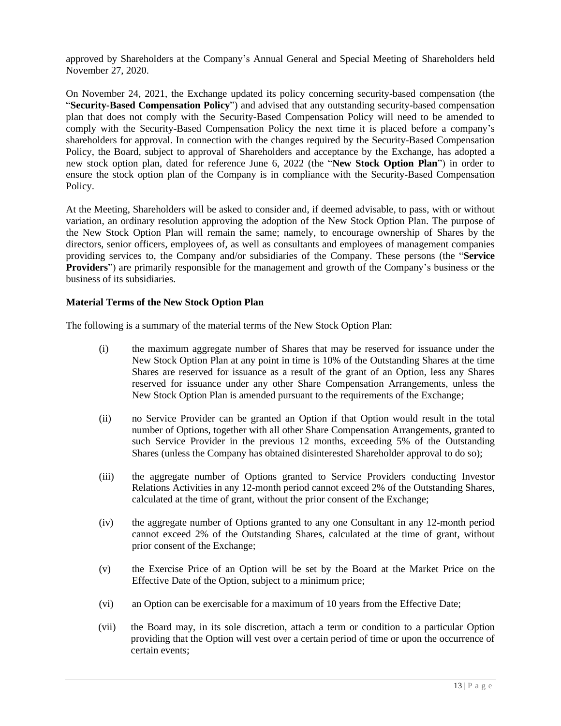approved by Shareholders at the Company's Annual General and Special Meeting of Shareholders held November 27, 2020.

On November 24, 2021, the Exchange updated its policy concerning security-based compensation (the "**Security-Based Compensation Policy**") and advised that any outstanding security-based compensation plan that does not comply with the Security-Based Compensation Policy will need to be amended to comply with the Security-Based Compensation Policy the next time it is placed before a company's shareholders for approval. In connection with the changes required by the Security-Based Compensation Policy, the Board, subject to approval of Shareholders and acceptance by the Exchange, has adopted a new stock option plan, dated for reference June 6, 2022 (the "**New Stock Option Plan**") in order to ensure the stock option plan of the Company is in compliance with the Security-Based Compensation Policy.

At the Meeting, Shareholders will be asked to consider and, if deemed advisable, to pass, with or without variation, an ordinary resolution approving the adoption of the New Stock Option Plan. The purpose of the New Stock Option Plan will remain the same; namely, to encourage ownership of Shares by the directors, senior officers, employees of, as well as consultants and employees of management companies providing services to, the Company and/or subsidiaries of the Company. These persons (the "**Service Providers**") are primarily responsible for the management and growth of the Company's business or the business of its subsidiaries.

## **Material Terms of the New Stock Option Plan**

The following is a summary of the material terms of the New Stock Option Plan:

- (i) the maximum aggregate number of Shares that may be reserved for issuance under the New Stock Option Plan at any point in time is 10% of the Outstanding Shares at the time Shares are reserved for issuance as a result of the grant of an Option, less any Shares reserved for issuance under any other Share Compensation Arrangements, unless the New Stock Option Plan is amended pursuant to the requirements of the Exchange;
- (ii) no Service Provider can be granted an Option if that Option would result in the total number of Options, together with all other Share Compensation Arrangements, granted to such Service Provider in the previous 12 months, exceeding 5% of the Outstanding Shares (unless the Company has obtained disinterested Shareholder approval to do so);
- (iii) the aggregate number of Options granted to Service Providers conducting Investor Relations Activities in any 12-month period cannot exceed 2% of the Outstanding Shares, calculated at the time of grant, without the prior consent of the Exchange;
- (iv) the aggregate number of Options granted to any one Consultant in any 12-month period cannot exceed 2% of the Outstanding Shares, calculated at the time of grant, without prior consent of the Exchange;
- (v) the Exercise Price of an Option will be set by the Board at the Market Price on the Effective Date of the Option, subject to a minimum price;
- (vi) an Option can be exercisable for a maximum of 10 years from the Effective Date;
- (vii) the Board may, in its sole discretion, attach a term or condition to a particular Option providing that the Option will vest over a certain period of time or upon the occurrence of certain events;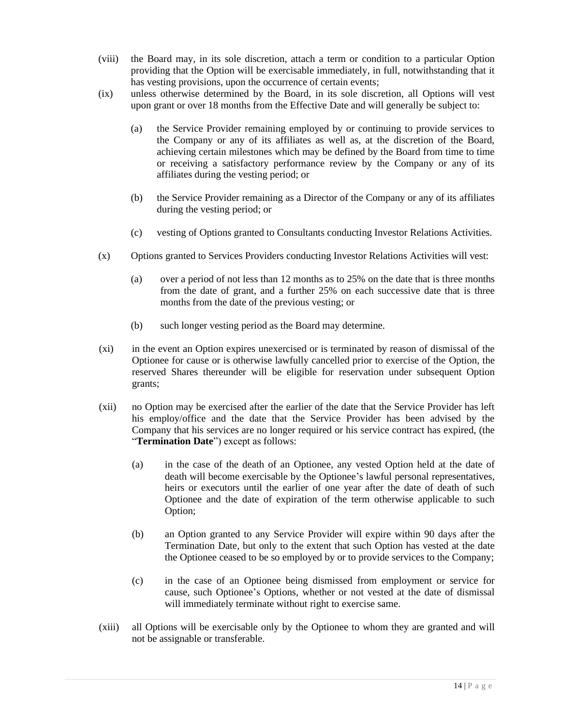- (viii) the Board may, in its sole discretion, attach a term or condition to a particular Option providing that the Option will be exercisable immediately, in full, notwithstanding that it has vesting provisions, upon the occurrence of certain events;
- (ix) unless otherwise determined by the Board, in its sole discretion, all Options will vest upon grant or over 18 months from the Effective Date and will generally be subject to:
	- (a) the Service Provider remaining employed by or continuing to provide services to the Company or any of its affiliates as well as, at the discretion of the Board, achieving certain milestones which may be defined by the Board from time to time or receiving a satisfactory performance review by the Company or any of its affiliates during the vesting period; or
	- (b) the Service Provider remaining as a Director of the Company or any of its affiliates during the vesting period; or
	- (c) vesting of Options granted to Consultants conducting Investor Relations Activities.
- (x) Options granted to Services Providers conducting Investor Relations Activities will vest:
	- (a) over a period of not less than 12 months as to 25% on the date that is three months from the date of grant, and a further 25% on each successive date that is three months from the date of the previous vesting; or
	- (b) such longer vesting period as the Board may determine.
- (xi) in the event an Option expires unexercised or is terminated by reason of dismissal of the Optionee for cause or is otherwise lawfully cancelled prior to exercise of the Option, the reserved Shares thereunder will be eligible for reservation under subsequent Option grants;
- (xii) no Option may be exercised after the earlier of the date that the Service Provider has left his employ/office and the date that the Service Provider has been advised by the Company that his services are no longer required or his service contract has expired, (the "**Termination Date**") except as follows:
	- (a) in the case of the death of an Optionee, any vested Option held at the date of death will become exercisable by the Optionee's lawful personal representatives, heirs or executors until the earlier of one year after the date of death of such Optionee and the date of expiration of the term otherwise applicable to such Option;
	- (b) an Option granted to any Service Provider will expire within 90 days after the Termination Date, but only to the extent that such Option has vested at the date the Optionee ceased to be so employed by or to provide services to the Company;
	- (c) in the case of an Optionee being dismissed from employment or service for cause, such Optionee's Options, whether or not vested at the date of dismissal will immediately terminate without right to exercise same.
- (xiii) all Options will be exercisable only by the Optionee to whom they are granted and will not be assignable or transferable.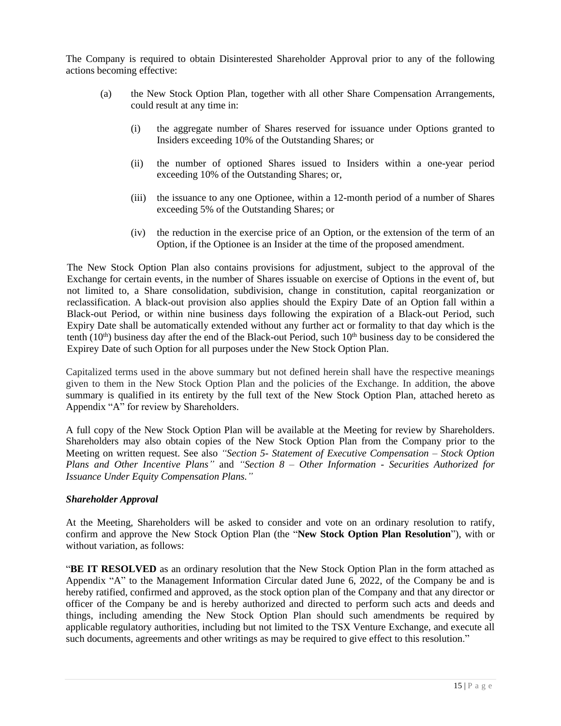The Company is required to obtain Disinterested Shareholder Approval prior to any of the following actions becoming effective:

- (a) the New Stock Option Plan, together with all other Share Compensation Arrangements, could result at any time in:
	- (i) the aggregate number of Shares reserved for issuance under Options granted to Insiders exceeding 10% of the Outstanding Shares; or
	- (ii) the number of optioned Shares issued to Insiders within a one-year period exceeding 10% of the Outstanding Shares; or,
	- (iii) the issuance to any one Optionee, within a 12-month period of a number of Shares exceeding 5% of the Outstanding Shares; or
	- (iv) the reduction in the exercise price of an Option, or the extension of the term of an Option, if the Optionee is an Insider at the time of the proposed amendment.

The New Stock Option Plan also contains provisions for adjustment, subject to the approval of the Exchange for certain events, in the number of Shares issuable on exercise of Options in the event of, but not limited to, a Share consolidation, subdivision, change in constitution, capital reorganization or reclassification. A black-out provision also applies should the Expiry Date of an Option fall within a Black-out Period, or within nine business days following the expiration of a Black-out Period, such Expiry Date shall be automatically extended without any further act or formality to that day which is the tenth  $(10<sup>th</sup>)$  business day after the end of the Black-out Period, such  $10<sup>th</sup>$  business day to be considered the Expirey Date of such Option for all purposes under the New Stock Option Plan.

Capitalized terms used in the above summary but not defined herein shall have the respective meanings given to them in the New Stock Option Plan and the policies of the Exchange. In addition, the above summary is qualified in its entirety by the full text of the New Stock Option Plan, attached hereto as Appendix "A" for review by Shareholders.

A full copy of the New Stock Option Plan will be available at the Meeting for review by Shareholders. Shareholders may also obtain copies of the New Stock Option Plan from the Company prior to the Meeting on written request. See also *"Section 5- Statement of Executive Compensation – Stock Option Plans and Other Incentive Plans"* and *"Section 8 – Other Information - Securities Authorized for Issuance Under Equity Compensation Plans."*

## *Shareholder Approval*

At the Meeting, Shareholders will be asked to consider and vote on an ordinary resolution to ratify, confirm and approve the New Stock Option Plan (the "**New Stock Option Plan Resolution**"), with or without variation, as follows:

"**BE IT RESOLVED** as an ordinary resolution that the New Stock Option Plan in the form attached as Appendix "A" to the Management Information Circular dated June 6, 2022, of the Company be and is hereby ratified, confirmed and approved, as the stock option plan of the Company and that any director or officer of the Company be and is hereby authorized and directed to perform such acts and deeds and things, including amending the New Stock Option Plan should such amendments be required by applicable regulatory authorities, including but not limited to the TSX Venture Exchange, and execute all such documents, agreements and other writings as may be required to give effect to this resolution."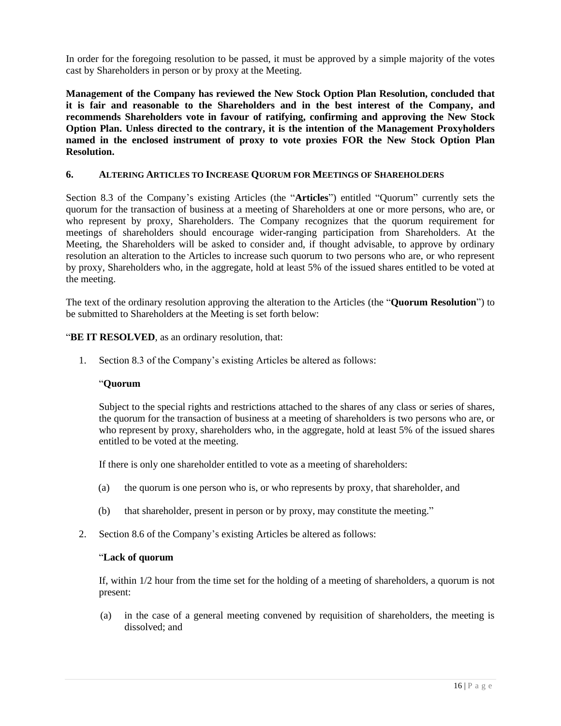In order for the foregoing resolution to be passed, it must be approved by a simple majority of the votes cast by Shareholders in person or by proxy at the Meeting.

**Management of the Company has reviewed the New Stock Option Plan Resolution, concluded that it is fair and reasonable to the Shareholders and in the best interest of the Company, and recommends Shareholders vote in favour of ratifying, confirming and approving the New Stock Option Plan. Unless directed to the contrary, it is the intention of the Management Proxyholders named in the enclosed instrument of proxy to vote proxies FOR the New Stock Option Plan Resolution.**

### **6. ALTERING ARTICLES TO INCREASE QUORUM FOR MEETINGS OF SHAREHOLDERS**

Section 8.3 of the Company's existing Articles (the "**Articles**") entitled "Quorum" currently sets the quorum for the transaction of business at a meeting of Shareholders at one or more persons, who are, or who represent by proxy, Shareholders. The Company recognizes that the quorum requirement for meetings of shareholders should encourage wider-ranging participation from Shareholders. At the Meeting, the Shareholders will be asked to consider and, if thought advisable, to approve by ordinary resolution an alteration to the Articles to increase such quorum to two persons who are, or who represent by proxy, Shareholders who, in the aggregate, hold at least 5% of the issued shares entitled to be voted at the meeting.

The text of the ordinary resolution approving the alteration to the Articles (the "**Quorum Resolution**") to be submitted to Shareholders at the Meeting is set forth below:

"BE IT RESOLVED, as an ordinary resolution, that:

1. Section 8.3 of the Company's existing Articles be altered as follows:

#### "**Quorum**

Subject to the special rights and restrictions attached to the shares of any class or series of shares, the quorum for the transaction of business at a meeting of shareholders is two persons who are, or who represent by proxy, shareholders who, in the aggregate, hold at least 5% of the issued shares entitled to be voted at the meeting.

If there is only one shareholder entitled to vote as a meeting of shareholders:

- (a) the quorum is one person who is, or who represents by proxy, that shareholder, and
- (b) that shareholder, present in person or by proxy, may constitute the meeting."
- 2. Section 8.6 of the Company's existing Articles be altered as follows:

#### "**Lack of quorum**

If, within 1/2 hour from the time set for the holding of a meeting of shareholders, a quorum is not present:

(a) in the case of a general meeting convened by requisition of shareholders, the meeting is dissolved; and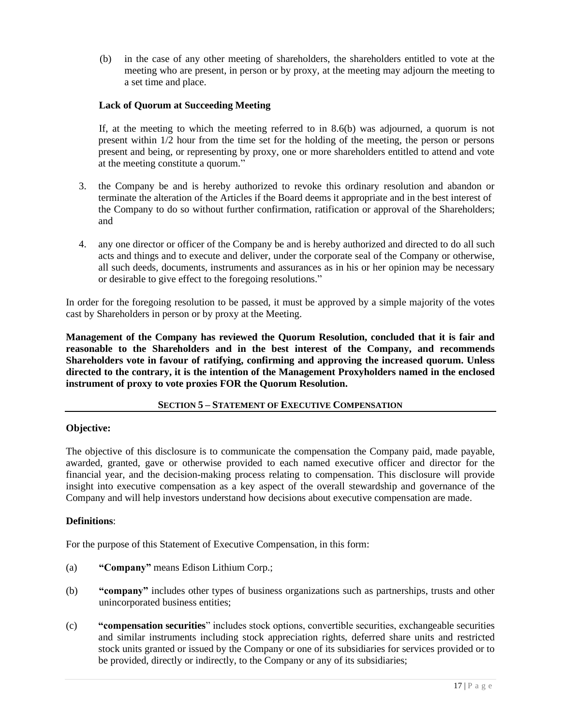(b) in the case of any other meeting of shareholders, the shareholders entitled to vote at the meeting who are present, in person or by proxy, at the meeting may adjourn the meeting to a set time and place.

## **Lack of Quorum at Succeeding Meeting**

If, at the meeting to which the meeting referred to in 8.6(b) was adjourned, a quorum is not present within 1/2 hour from the time set for the holding of the meeting, the person or persons present and being, or representing by proxy, one or more shareholders entitled to attend and vote at the meeting constitute a quorum."

- 3. the Company be and is hereby authorized to revoke this ordinary resolution and abandon or terminate the alteration of the Articles if the Board deems it appropriate and in the best interest of the Company to do so without further confirmation, ratification or approval of the Shareholders; and
- 4. any one director or officer of the Company be and is hereby authorized and directed to do all such acts and things and to execute and deliver, under the corporate seal of the Company or otherwise, all such deeds, documents, instruments and assurances as in his or her opinion may be necessary or desirable to give effect to the foregoing resolutions."

In order for the foregoing resolution to be passed, it must be approved by a simple majority of the votes cast by Shareholders in person or by proxy at the Meeting.

**Management of the Company has reviewed the Quorum Resolution, concluded that it is fair and reasonable to the Shareholders and in the best interest of the Company, and recommends Shareholders vote in favour of ratifying, confirming and approving the increased quorum. Unless directed to the contrary, it is the intention of the Management Proxyholders named in the enclosed instrument of proxy to vote proxies FOR the Quorum Resolution.**

## **SECTION 5 – STATEMENT OF EXECUTIVE COMPENSATION**

# **Objective:**

The objective of this disclosure is to communicate the compensation the Company paid, made payable, awarded, granted, gave or otherwise provided to each named executive officer and director for the financial year, and the decision-making process relating to compensation. This disclosure will provide insight into executive compensation as a key aspect of the overall stewardship and governance of the Company and will help investors understand how decisions about executive compensation are made.

### **Definitions**:

For the purpose of this Statement of Executive Compensation, in this form:

- (a) **"Company"** means Edison Lithium Corp.;
- (b) **"company"** includes other types of business organizations such as partnerships, trusts and other unincorporated business entities;
- (c) **"compensation securities**" includes stock options, convertible securities, exchangeable securities and similar instruments including stock appreciation rights, deferred share units and restricted stock units granted or issued by the Company or one of its subsidiaries for services provided or to be provided, directly or indirectly, to the Company or any of its subsidiaries;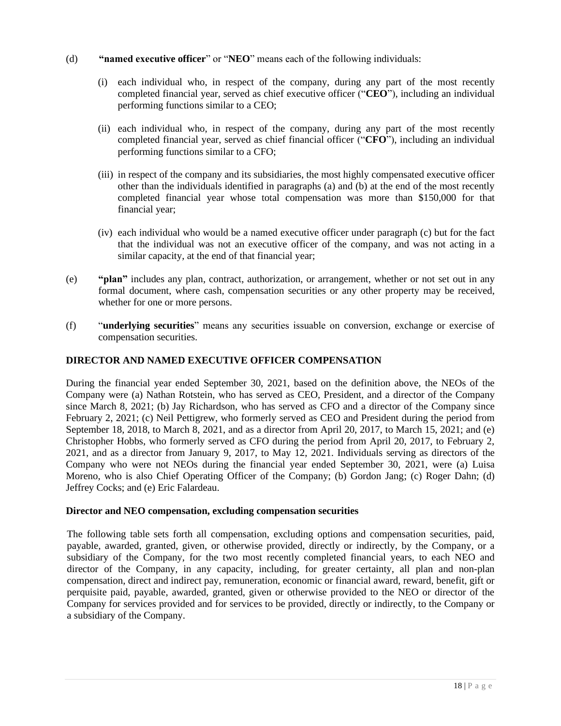- (d) **"named executive officer**" or "**NEO**" means each of the following individuals:
	- (i) each individual who, in respect of the company, during any part of the most recently completed financial year, served as chief executive officer ("**CEO**"), including an individual performing functions similar to a CEO;
	- (ii) each individual who, in respect of the company, during any part of the most recently completed financial year, served as chief financial officer ("**CFO**"), including an individual performing functions similar to a CFO;
	- (iii) in respect of the company and its subsidiaries, the most highly compensated executive officer other than the individuals identified in paragraphs (a) and (b) at the end of the most recently completed financial year whose total compensation was more than \$150,000 for that financial year;
	- (iv) each individual who would be a named executive officer under paragraph (c) but for the fact that the individual was not an executive officer of the company, and was not acting in a similar capacity, at the end of that financial year;
- (e) **"plan"** includes any plan, contract, authorization, or arrangement, whether or not set out in any formal document, where cash, compensation securities or any other property may be received, whether for one or more persons.
- (f) "**underlying securities**" means any securities issuable on conversion, exchange or exercise of compensation securities.

# **DIRECTOR AND NAMED EXECUTIVE OFFICER COMPENSATION**

During the financial year ended September 30, 2021, based on the definition above, the NEOs of the Company were (a) Nathan Rotstein, who has served as CEO, President, and a director of the Company since March 8, 2021; (b) Jay Richardson, who has served as CFO and a director of the Company since February 2, 2021; (c) Neil Pettigrew, who formerly served as CEO and President during the period from September 18, 2018, to March 8, 2021, and as a director from April 20, 2017, to March 15, 2021; and (e) Christopher Hobbs, who formerly served as CFO during the period from April 20, 2017, to February 2, 2021, and as a director from January 9, 2017, to May 12, 2021. Individuals serving as directors of the Company who were not NEOs during the financial year ended September 30, 2021, were (a) Luisa Moreno, who is also Chief Operating Officer of the Company; (b) Gordon Jang; (c) Roger Dahn; (d) Jeffrey Cocks; and (e) Eric Falardeau.

### **Director and NEO compensation, excluding compensation securities**

The following table sets forth all compensation, excluding options and compensation securities, paid, payable, awarded, granted, given, or otherwise provided, directly or indirectly, by the Company, or a subsidiary of the Company, for the two most recently completed financial years, to each NEO and director of the Company, in any capacity, including, for greater certainty, all plan and non-plan compensation, direct and indirect pay, remuneration, economic or financial award, reward, benefit, gift or perquisite paid, payable, awarded, granted, given or otherwise provided to the NEO or director of the Company for services provided and for services to be provided, directly or indirectly, to the Company or a subsidiary of the Company.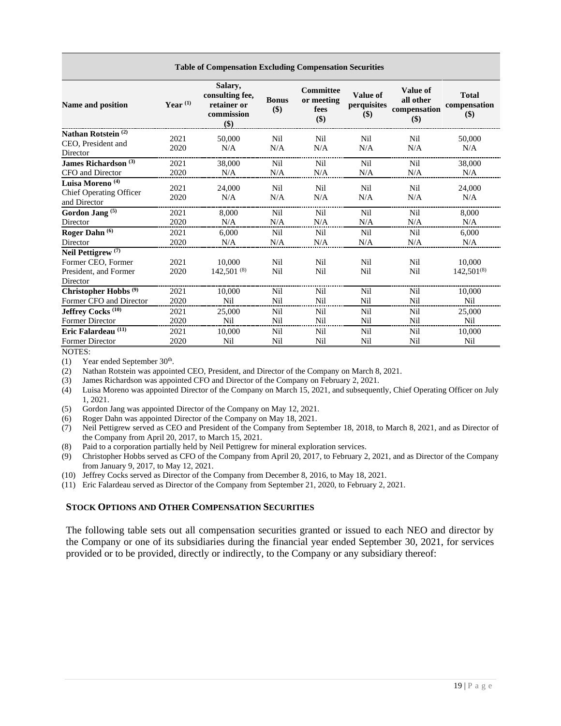| <b>Table of Compensation Excluding Compensation Securities</b>                           |              |                                                                |                     |                                               |                                       |                                                     |                                     |
|------------------------------------------------------------------------------------------|--------------|----------------------------------------------------------------|---------------------|-----------------------------------------------|---------------------------------------|-----------------------------------------------------|-------------------------------------|
| Name and position                                                                        | Year $(1)$   | Salary,<br>consulting fee,<br>retainer or<br>commission<br>\$) | <b>Bonus</b><br>\$) | <b>Committee</b><br>or meeting<br>fees<br>\$) | <b>Value of</b><br>perquisites<br>\$) | <b>Value of</b><br>all other<br>compensation<br>\$) | <b>Total</b><br>compensation<br>\$) |
| Nathan Rotstein <sup>(2)</sup><br>CEO, President and<br>Director                         | 2021<br>2020 | 50,000<br>N/A                                                  | Nil<br>N/A          | Nil<br>N/A                                    | Nil<br>N/A                            | Nil<br>N/A                                          | 50,000<br>N/A                       |
| James Richardson <sup>(3)</sup>                                                          | 2021         | 38,000                                                         | Nil                 | Nil                                           | Nil                                   | Nil                                                 | 38,000                              |
| CFO and Director                                                                         | 2020         | N/A                                                            | N/A                 | N/A                                           | N/A                                   | N/A                                                 | N/A                                 |
| Luisa Moreno <sup>(4)</sup><br>Chief Operating Officer<br>and Director                   | 2021<br>2020 | 24,000<br>N/A                                                  | Nil<br>N/A          | Nil<br>N/A                                    | Nil<br>N/A                            | Nil<br>N/A                                          | 24,000<br>N/A                       |
| Gordon Jang <sup>(5)</sup>                                                               | 2021         | 8,000                                                          | Nil                 | Nil                                           | Nil                                   | Nil                                                 | 8,000                               |
| Director                                                                                 | 2020         | N/A                                                            | N/A                 | N/A                                           | N/A                                   | N/A                                                 | N/A                                 |
| Roger Dahn <sup>(6)</sup>                                                                | 2021         | 6.000                                                          | Nil                 | Nil                                           | Nil                                   | Nil                                                 | 6,000                               |
| Director                                                                                 | 2020         | N/A                                                            | N/A                 | N/A                                           | N/A                                   | N/A                                                 | N/A                                 |
| Neil Pettigrew <sup>(7)</sup><br>Former CEO, Former<br>President, and Former<br>Director | 2021<br>2020 | 10,000<br>$142,501^{(8)}$                                      | Nil<br>Nil          | Nil<br>Nil                                    | Nil<br>Nil                            | Nil<br>Nil                                          | 10,000<br>$142.501^{(8)}$           |
| Christopher Hobbs <sup>(9)</sup>                                                         | 2021         | 10,000                                                         | Nil                 | Nil                                           | Nil                                   | Nil                                                 | 10,000                              |
| Former CFO and Director                                                                  | 2020         | Nil                                                            | Nil                 | Nil                                           | Nil                                   | Nil                                                 | Nil                                 |
| Jeffrey Cocks <sup>(10)</sup>                                                            | 2021         | 25,000                                                         | Nil                 | Nil                                           | Nil                                   | Nil                                                 | 25,000                              |
| <b>Former Director</b>                                                                   | 2020         | Nil                                                            | Nil                 | Nil                                           | Nil                                   | Nil                                                 | Nil                                 |
| Eric Falardeau <sup>(11)</sup>                                                           | 2021         | 10,000                                                         | Nil                 | Nil                                           | Nil                                   | Nil                                                 | 10,000                              |
| <b>Former Director</b>                                                                   | 2020         | Nil                                                            | Nil                 | Nil                                           | Nil                                   | Nil                                                 | Nil                                 |

NOTES:

 $(1)$  Year ended September 30<sup>th</sup>.

(2) Nathan Rotstein was appointed CEO, President, and Director of the Company on March 8, 2021.

(3) James Richardson was appointed CFO and Director of the Company on February 2, 2021.

- (4) Luisa Moreno was appointed Director of the Company on March 15, 2021, and subsequently, Chief Operating Officer on July 1, 2021.
- (5) Gordon Jang was appointed Director of the Company on May 12, 2021.
- (6) Roger Dahn was appointed Director of the Company on May 18, 2021.
- (7) Neil Pettigrew served as CEO and President of the Company from September 18, 2018, to March 8, 2021, and as Director of the Company from April 20, 2017, to March 15, 2021.
- (8) Paid to a corporation partially held by Neil Pettigrew for mineral exploration services.
- (9) Christopher Hobbs served as CFO of the Company from April 20, 2017, to February 2, 2021, and as Director of the Company from January 9, 2017, to May 12, 2021.
- (10) Jeffrey Cocks served as Director of the Company from December 8, 2016, to May 18, 2021.

(11) Eric Falardeau served as Director of the Company from September 21, 2020, to February 2, 2021.

#### **STOCK OPTIONS AND OTHER COMPENSATION SECURITIES**

The following table sets out all compensation securities granted or issued to each NEO and director by the Company or one of its subsidiaries during the financial year ended September 30, 2021, for services provided or to be provided, directly or indirectly, to the Company or any subsidiary thereof: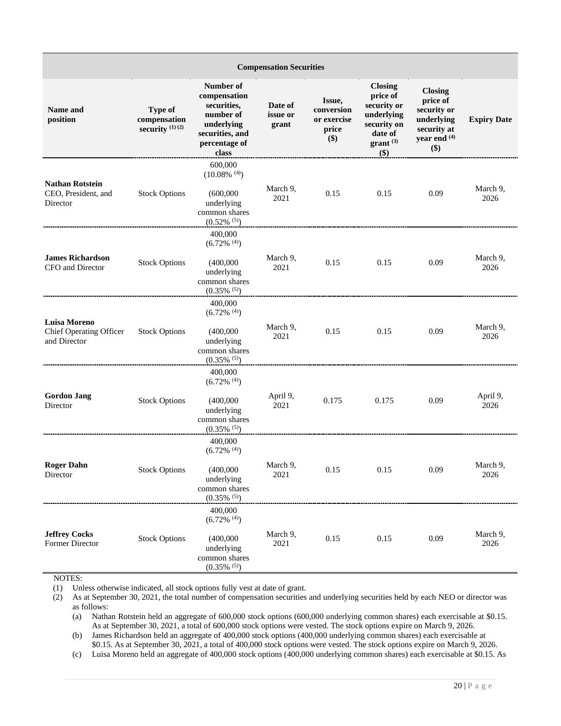| <b>Compensation Securities</b>                                 |                                              |                                                                                                                  |                              |                                                     |                                                                                                                    |                                                                                                 |                    |
|----------------------------------------------------------------|----------------------------------------------|------------------------------------------------------------------------------------------------------------------|------------------------------|-----------------------------------------------------|--------------------------------------------------------------------------------------------------------------------|-------------------------------------------------------------------------------------------------|--------------------|
| Name and<br>position                                           | Type of<br>compensation<br>security $(1)(2)$ | Number of<br>compensation<br>securities,<br>number of<br>underlying<br>securities, and<br>percentage of<br>class | Date of<br>issue or<br>grant | Issue,<br>conversion<br>or exercise<br>price<br>\$) | <b>Closing</b><br>price of<br>security or<br>underlying<br>security on<br>date of<br>$grant$ <sup>(3)</sup><br>\$) | <b>Closing</b><br>price of<br>security or<br>underlying<br>security at<br>year end $(4)$<br>\$) | <b>Expiry Date</b> |
| <b>Nathan Rotstein</b><br>CEO, President, and<br>Director      | <b>Stock Options</b>                         | 600,000<br>$(10.08\%$ <sup>(4)</sup> )<br>(600,000)<br>underlying<br>common shares<br>$(0.52\%~^{(5)})$          | March 9,<br>2021             | 0.15                                                | 0.15                                                                                                               | 0.09                                                                                            | March 9,<br>2026   |
| <b>James Richardson</b><br>CFO and Director                    | <b>Stock Options</b>                         | 400,000<br>$(6.72\%$ <sup>(4)</sup> )<br>(400,000)<br>underlying<br>common shares<br>$(0.35\%~^{(5)})$           | March 9,<br>2021             | 0.15                                                | 0.15                                                                                                               | 0.09                                                                                            | March 9,<br>2026   |
| <b>Luisa Moreno</b><br>Chief Operating Officer<br>and Director | <b>Stock Options</b>                         | 400,000<br>$(6.72\%$ <sup>(4)</sup> )<br>(400,000)<br>underlying<br>common shares<br>$(0.35\%$ <sup>(5)</sup> )  | March 9,<br>2021             | 0.15                                                | 0.15                                                                                                               | 0.09                                                                                            | March 9,<br>2026   |
| <b>Gordon Jang</b><br>Director                                 | <b>Stock Options</b>                         | 400,000<br>$(6.72\%$ <sup>(4)</sup> )<br>(400,000)<br>underlying<br>common shares<br>$(0.35\%$ <sup>(5)</sup> )  | April 9,<br>2021             | 0.175                                               | 0.175                                                                                                              | 0.09                                                                                            | April 9,<br>2026   |
| <b>Roger Dahn</b><br>Director                                  | <b>Stock Options</b>                         | 400,000<br>$(6.72\%$ <sup>(4)</sup> )<br>(400,000)<br>underlying<br>common shares<br>$(0.35\%~^{(5)})$           | March 9,<br>2021             | 0.15                                                | 0.15                                                                                                               | 0.09                                                                                            | March 9,<br>2026   |
| <b>Jeffrey Cocks</b><br>Former Director                        | <b>Stock Options</b>                         | 400,000<br>$(6.72\%$ <sup>(4)</sup> )<br>(400,000)<br>underlying<br>common shares<br>$(0.35\%~^{(5)})$           | March 9,<br>2021             | 0.15                                                | 0.15                                                                                                               | 0.09                                                                                            | March 9,<br>2026   |

NOTES:

(1) Unless otherwise indicated, all stock options fully vest at date of grant.

(2) As at September 30, 2021, the total number of compensation securities and underlying securities held by each NEO or director was as follows:

(a) Nathan Rotstein held an aggregate of 600,000 stock options (600,000 underlying common shares) each exercisable at \$0.15. As at September 30, 2021, a total of 600,000 stock options were vested. The stock options expire on March 9, 2026.

(b) James Richardson held an aggregate of 400,000 stock options (400,000 underlying common shares) each exercisable at \$0.15. As at September 30, 2021, a total of 400,000 stock options were vested. The stock options expire on March 9, 2026.

(c) Luisa Moreno held an aggregate of 400,000 stock options (400,000 underlying common shares) each exercisable at \$0.15. As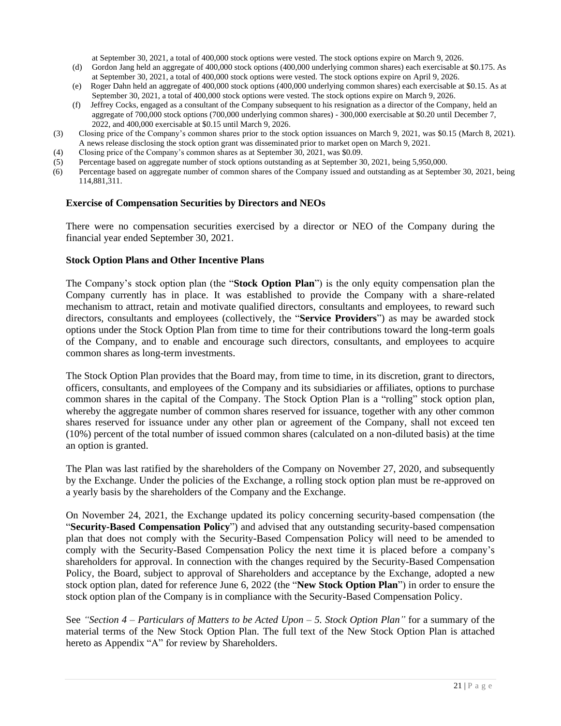at September 30, 2021, a total of 400,000 stock options were vested. The stock options expire on March 9, 2026.

- (d) Gordon Jang held an aggregate of 400,000 stock options (400,000 underlying common shares) each exercisable at \$0.175. As at September 30, 2021, a total of 400,000 stock options were vested. The stock options expire on April 9, 2026.
- (e) Roger Dahn held an aggregate of 400,000 stock options (400,000 underlying common shares) each exercisable at \$0.15. As at September 30, 2021, a total of 400,000 stock options were vested. The stock options expire on March 9, 2026.
- (f) Jeffrey Cocks, engaged as a consultant of the Company subsequent to his resignation as a director of the Company, held an aggregate of 700,000 stock options (700,000 underlying common shares) - 300,000 exercisable at \$0.20 until December 7, 2022, and 400,000 exercisable at \$0.15 until March 9, 2026.
- (3) Closing price of the Company's common shares prior to the stock option issuances on March 9, 2021, was \$0.15 (March 8, 2021). A news release disclosing the stock option grant was disseminated prior to market open on March 9, 2021.
- (4) Closing price of the Company's common shares as at September 30, 2021, was \$0.09.
- (5) Percentage based on aggregate number of stock options outstanding as at September 30, 2021, being 5,950,000.
- (6) Percentage based on aggregate number of common shares of the Company issued and outstanding as at September 30, 2021, being 114,881,311.

### **Exercise of Compensation Securities by Directors and NEOs**

There were no compensation securities exercised by a director or NEO of the Company during the financial year ended September 30, 2021.

### **Stock Option Plans and Other Incentive Plans**

The Company's stock option plan (the "**Stock Option Plan**") is the only equity compensation plan the Company currently has in place. It was established to provide the Company with a share-related mechanism to attract, retain and motivate qualified directors, consultants and employees, to reward such directors, consultants and employees (collectively, the "**Service Providers**") as may be awarded stock options under the Stock Option Plan from time to time for their contributions toward the long-term goals of the Company, and to enable and encourage such directors, consultants, and employees to acquire common shares as long-term investments.

The Stock Option Plan provides that the Board may, from time to time, in its discretion, grant to directors, officers, consultants, and employees of the Company and its subsidiaries or affiliates, options to purchase common shares in the capital of the Company. The Stock Option Plan is a "rolling" stock option plan, whereby the aggregate number of common shares reserved for issuance, together with any other common shares reserved for issuance under any other plan or agreement of the Company, shall not exceed ten (10%) percent of the total number of issued common shares (calculated on a non-diluted basis) at the time an option is granted.

The Plan was last ratified by the shareholders of the Company on November 27, 2020, and subsequently by the Exchange. Under the policies of the Exchange, a rolling stock option plan must be re-approved on a yearly basis by the shareholders of the Company and the Exchange.

On November 24, 2021, the Exchange updated its policy concerning security-based compensation (the "**Security-Based Compensation Policy**") and advised that any outstanding security-based compensation plan that does not comply with the Security-Based Compensation Policy will need to be amended to comply with the Security-Based Compensation Policy the next time it is placed before a company's shareholders for approval. In connection with the changes required by the Security-Based Compensation Policy, the Board, subject to approval of Shareholders and acceptance by the Exchange, adopted a new stock option plan, dated for reference June 6, 2022 (the "**New Stock Option Plan**") in order to ensure the stock option plan of the Company is in compliance with the Security-Based Compensation Policy.

See *"Section 4 – Particulars of Matters to be Acted Upon – 5. Stock Option Plan"* for a summary of the material terms of the New Stock Option Plan. The full text of the New Stock Option Plan is attached hereto as Appendix "A" for review by Shareholders.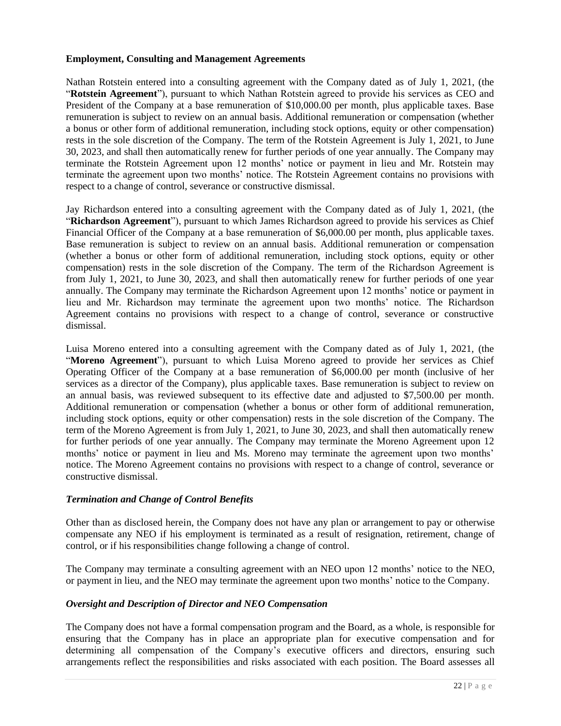### **Employment, Consulting and Management Agreements**

Nathan Rotstein entered into a consulting agreement with the Company dated as of July 1, 2021, (the "**Rotstein Agreement**"), pursuant to which Nathan Rotstein agreed to provide his services as CEO and President of the Company at a base remuneration of \$10,000.00 per month, plus applicable taxes. Base remuneration is subject to review on an annual basis. Additional remuneration or compensation (whether a bonus or other form of additional remuneration, including stock options, equity or other compensation) rests in the sole discretion of the Company. The term of the Rotstein Agreement is July 1, 2021, to June 30, 2023, and shall then automatically renew for further periods of one year annually. The Company may terminate the Rotstein Agreement upon 12 months' notice or payment in lieu and Mr. Rotstein may terminate the agreement upon two months' notice. The Rotstein Agreement contains no provisions with respect to a change of control, severance or constructive dismissal.

Jay Richardson entered into a consulting agreement with the Company dated as of July 1, 2021, (the "**Richardson Agreement**"), pursuant to which James Richardson agreed to provide his services as Chief Financial Officer of the Company at a base remuneration of \$6,000.00 per month, plus applicable taxes. Base remuneration is subject to review on an annual basis. Additional remuneration or compensation (whether a bonus or other form of additional remuneration, including stock options, equity or other compensation) rests in the sole discretion of the Company. The term of the Richardson Agreement is from July 1, 2021, to June 30, 2023, and shall then automatically renew for further periods of one year annually. The Company may terminate the Richardson Agreement upon 12 months' notice or payment in lieu and Mr. Richardson may terminate the agreement upon two months' notice. The Richardson Agreement contains no provisions with respect to a change of control, severance or constructive dismissal.

Luisa Moreno entered into a consulting agreement with the Company dated as of July 1, 2021, (the "**Moreno Agreement**"), pursuant to which Luisa Moreno agreed to provide her services as Chief Operating Officer of the Company at a base remuneration of \$6,000.00 per month (inclusive of her services as a director of the Company), plus applicable taxes. Base remuneration is subject to review on an annual basis, was reviewed subsequent to its effective date and adjusted to \$7,500.00 per month. Additional remuneration or compensation (whether a bonus or other form of additional remuneration, including stock options, equity or other compensation) rests in the sole discretion of the Company. The term of the Moreno Agreement is from July 1, 2021, to June 30, 2023, and shall then automatically renew for further periods of one year annually. The Company may terminate the Moreno Agreement upon 12 months' notice or payment in lieu and Ms. Moreno may terminate the agreement upon two months' notice. The Moreno Agreement contains no provisions with respect to a change of control, severance or constructive dismissal.

### *Termination and Change of Control Benefits*

Other than as disclosed herein, the Company does not have any plan or arrangement to pay or otherwise compensate any NEO if his employment is terminated as a result of resignation, retirement, change of control, or if his responsibilities change following a change of control.

The Company may terminate a consulting agreement with an NEO upon 12 months' notice to the NEO, or payment in lieu, and the NEO may terminate the agreement upon two months' notice to the Company.

#### *Oversight and Description of Director and NEO Compensation*

The Company does not have a formal compensation program and the Board, as a whole, is responsible for ensuring that the Company has in place an appropriate plan for executive compensation and for determining all compensation of the Company's executive officers and directors, ensuring such arrangements reflect the responsibilities and risks associated with each position. The Board assesses all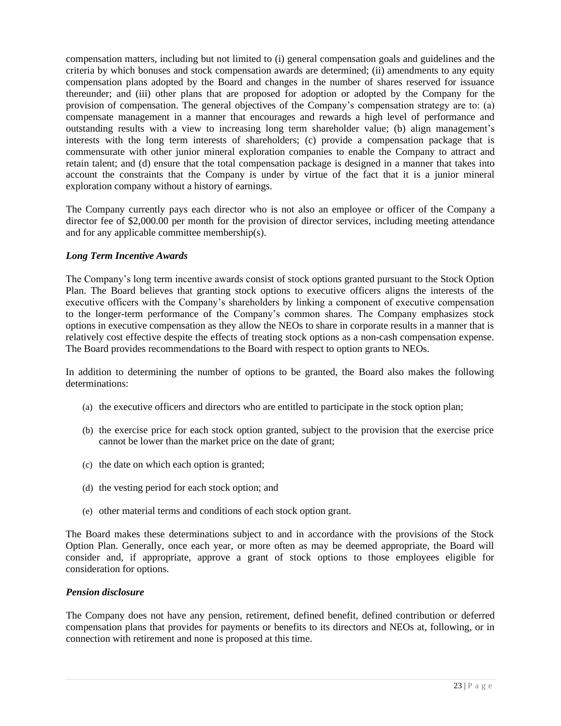compensation matters, including but not limited to (i) general compensation goals and guidelines and the criteria by which bonuses and stock compensation awards are determined; (ii) amendments to any equity compensation plans adopted by the Board and changes in the number of shares reserved for issuance thereunder; and (iii) other plans that are proposed for adoption or adopted by the Company for the provision of compensation. The general objectives of the Company's compensation strategy are to: (a) compensate management in a manner that encourages and rewards a high level of performance and outstanding results with a view to increasing long term shareholder value; (b) align management's interests with the long term interests of shareholders; (c) provide a compensation package that is commensurate with other junior mineral exploration companies to enable the Company to attract and retain talent; and (d) ensure that the total compensation package is designed in a manner that takes into account the constraints that the Company is under by virtue of the fact that it is a junior mineral exploration company without a history of earnings.

The Company currently pays each director who is not also an employee or officer of the Company a director fee of \$2,000.00 per month for the provision of director services, including meeting attendance and for any applicable committee membership(s).

### *Long Term Incentive Awards*

The Company's long term incentive awards consist of stock options granted pursuant to the Stock Option Plan. The Board believes that granting stock options to executive officers aligns the interests of the executive officers with the Company's shareholders by linking a component of executive compensation to the longer-term performance of the Company's common shares. The Company emphasizes stock options in executive compensation as they allow the NEOs to share in corporate results in a manner that is relatively cost effective despite the effects of treating stock options as a non-cash compensation expense. The Board provides recommendations to the Board with respect to option grants to NEOs.

In addition to determining the number of options to be granted, the Board also makes the following determinations:

- (a) the executive officers and directors who are entitled to participate in the stock option plan;
- (b) the exercise price for each stock option granted, subject to the provision that the exercise price cannot be lower than the market price on the date of grant;
- (c) the date on which each option is granted;
- (d) the vesting period for each stock option; and
- (e) other material terms and conditions of each stock option grant.

The Board makes these determinations subject to and in accordance with the provisions of the Stock Option Plan. Generally, once each year, or more often as may be deemed appropriate, the Board will consider and, if appropriate, approve a grant of stock options to those employees eligible for consideration for options.

### *Pension disclosure*

The Company does not have any pension, retirement, defined benefit, defined contribution or deferred compensation plans that provides for payments or benefits to its directors and NEOs at, following, or in connection with retirement and none is proposed at this time.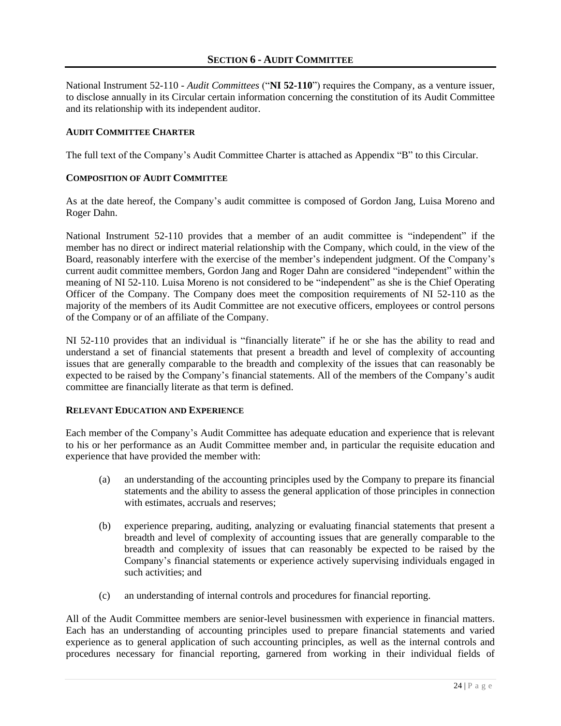National Instrument 52-110 - *Audit Committees* ("**NI 52-110**") requires the Company, as a venture issuer, to disclose annually in its Circular certain information concerning the constitution of its Audit Committee and its relationship with its independent auditor.

### **AUDIT COMMITTEE CHARTER**

The full text of the Company's Audit Committee Charter is attached as Appendix "B" to this Circular.

### **COMPOSITION OF AUDIT COMMITTEE**

As at the date hereof, the Company's audit committee is composed of Gordon Jang, Luisa Moreno and Roger Dahn.

National Instrument 52-110 provides that a member of an audit committee is "independent" if the member has no direct or indirect material relationship with the Company, which could, in the view of the Board, reasonably interfere with the exercise of the member's independent judgment. Of the Company's current audit committee members, Gordon Jang and Roger Dahn are considered "independent" within the meaning of NI 52-110. Luisa Moreno is not considered to be "independent" as she is the Chief Operating Officer of the Company. The Company does meet the composition requirements of NI 52-110 as the majority of the members of its Audit Committee are not executive officers, employees or control persons of the Company or of an affiliate of the Company.

NI 52-110 provides that an individual is "financially literate" if he or she has the ability to read and understand a set of financial statements that present a breadth and level of complexity of accounting issues that are generally comparable to the breadth and complexity of the issues that can reasonably be expected to be raised by the Company's financial statements. All of the members of the Company's audit committee are financially literate as that term is defined.

### **RELEVANT EDUCATION AND EXPERIENCE**

Each member of the Company's Audit Committee has adequate education and experience that is relevant to his or her performance as an Audit Committee member and, in particular the requisite education and experience that have provided the member with:

- (a) an understanding of the accounting principles used by the Company to prepare its financial statements and the ability to assess the general application of those principles in connection with estimates, accruals and reserves;
- (b) experience preparing, auditing, analyzing or evaluating financial statements that present a breadth and level of complexity of accounting issues that are generally comparable to the breadth and complexity of issues that can reasonably be expected to be raised by the Company's financial statements or experience actively supervising individuals engaged in such activities; and
- (c) an understanding of internal controls and procedures for financial reporting.

All of the Audit Committee members are senior-level businessmen with experience in financial matters. Each has an understanding of accounting principles used to prepare financial statements and varied experience as to general application of such accounting principles, as well as the internal controls and procedures necessary for financial reporting, garnered from working in their individual fields of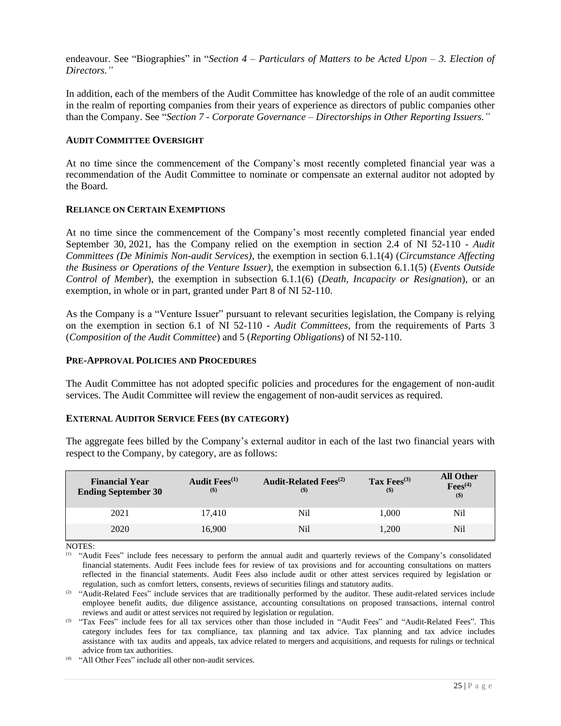endeavour. See "Biographies" in "*Section 4 – Particulars of Matters to be Acted Upon – 3. Election of Directors."*

In addition, each of the members of the Audit Committee has knowledge of the role of an audit committee in the realm of reporting companies from their years of experience as directors of public companies other than the Company. See "*Section 7 - Corporate Governance – Directorships in Other Reporting Issuers."*

#### **AUDIT COMMITTEE OVERSIGHT**

At no time since the commencement of the Company's most recently completed financial year was a recommendation of the Audit Committee to nominate or compensate an external auditor not adopted by the Board.

### **RELIANCE ON CERTAIN EXEMPTIONS**

At no time since the commencement of the Company's most recently completed financial year ended September 30, 2021, has the Company relied on the exemption in section 2.4 of NI 52-110 - *Audit Committees (De Minimis Non-audit Services)*, the exemption in section 6.1.1(4) (*Circumstance Affecting the Business or Operations of the Venture Issuer)*, the exemption in subsection 6.1.1(5) (*Events Outside Control of Member*), the exemption in subsection 6.1.1(6) (*Death, Incapacity or Resignation*), or an exemption, in whole or in part, granted under Part 8 of NI 52-110.

As the Company is a "Venture Issuer" pursuant to relevant securities legislation, the Company is relying on the exemption in section 6.1 of NI 52-110 - *Audit Committees*, from the requirements of Parts 3 (*Composition of the Audit Committee*) and 5 (*Reporting Obligations*) of NI 52-110.

### **PRE-APPROVAL POLICIES AND PROCEDURES**

The Audit Committee has not adopted specific policies and procedures for the engagement of non-audit services. The Audit Committee will review the engagement of non-audit services as required.

#### **EXTERNAL AUDITOR SERVICE FEES (BY CATEGORY)**

The aggregate fees billed by the Company's external auditor in each of the last two financial years with respect to the Company, by category, are as follows:

| <b>Financial Year</b><br><b>Ending September 30</b> | Audit $Fees^{(1)}$<br>$($)$ | <b>Audit-Related Fees</b> <sup>(2)</sup><br>$($ \$) | Tax Fees $^{(3)}$<br>$($)$ | <b>All Other</b><br>$\text{Fees}^{(4)}$<br>$($ \$) |
|-----------------------------------------------------|-----------------------------|-----------------------------------------------------|----------------------------|----------------------------------------------------|
| 2021                                                | 17.410                      | Nil                                                 | 1.000                      | Nil                                                |
| 2020                                                | 16,900                      | Nil                                                 | 1.200                      | Nil                                                |

NOTES:

 $(1)$  "Audit Fees" include fees necessary to perform the annual audit and quarterly reviews of the Company's consolidated financial statements. Audit Fees include fees for review of tax provisions and for accounting consultations on matters reflected in the financial statements. Audit Fees also include audit or other attest services required by legislation or regulation, such as comfort letters, consents, reviews of securities filings and statutory audits.

<sup>(2)</sup> "Audit-Related Fees" include services that are traditionally performed by the auditor. These audit-related services include employee benefit audits, due diligence assistance, accounting consultations on proposed transactions, internal control reviews and audit or attest services not required by legislation or regulation.

(3) "Tax Fees" include fees for all tax services other than those included in "Audit Fees" and "Audit-Related Fees". This category includes fees for tax compliance, tax planning and tax advice. Tax planning and tax advice includes assistance with tax audits and appeals, tax advice related to mergers and acquisitions, and requests for rulings or technical advice from tax authorities.

(4) "All Other Fees" include all other non-audit services.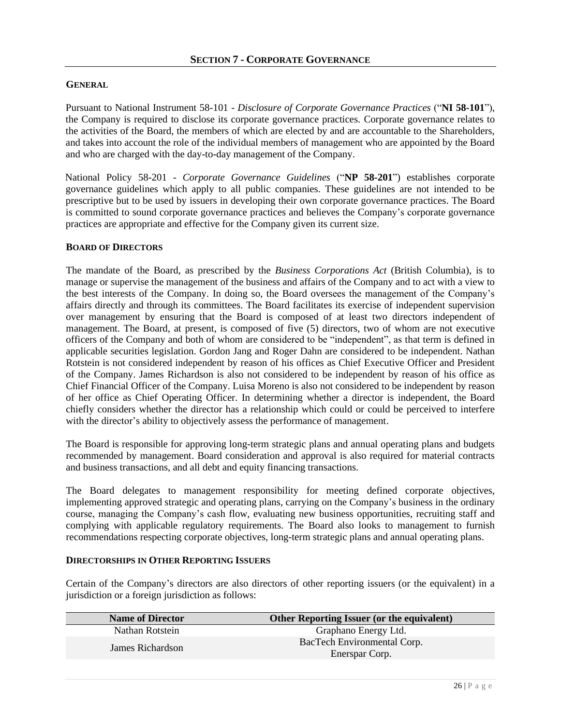### **GENERAL**

Pursuant to National Instrument 58-101 - *Disclosure of Corporate Governance Practices* ("**NI 58-101**"), the Company is required to disclose its corporate governance practices. Corporate governance relates to the activities of the Board, the members of which are elected by and are accountable to the Shareholders, and takes into account the role of the individual members of management who are appointed by the Board and who are charged with the day-to-day management of the Company.

National Policy 58-201 - *Corporate Governance Guidelines* ("**NP 58-201**") establishes corporate governance guidelines which apply to all public companies. These guidelines are not intended to be prescriptive but to be used by issuers in developing their own corporate governance practices. The Board is committed to sound corporate governance practices and believes the Company's corporate governance practices are appropriate and effective for the Company given its current size.

### **BOARD OF DIRECTORS**

The mandate of the Board, as prescribed by the *Business Corporations Act* (British Columbia), is to manage or supervise the management of the business and affairs of the Company and to act with a view to the best interests of the Company. In doing so, the Board oversees the management of the Company's affairs directly and through its committees. The Board facilitates its exercise of independent supervision over management by ensuring that the Board is composed of at least two directors independent of management. The Board, at present, is composed of five (5) directors, two of whom are not executive officers of the Company and both of whom are considered to be "independent", as that term is defined in applicable securities legislation. Gordon Jang and Roger Dahn are considered to be independent. Nathan Rotstein is not considered independent by reason of his offices as Chief Executive Officer and President of the Company. James Richardson is also not considered to be independent by reason of his office as Chief Financial Officer of the Company. Luisa Moreno is also not considered to be independent by reason of her office as Chief Operating Officer. In determining whether a director is independent, the Board chiefly considers whether the director has a relationship which could or could be perceived to interfere with the director's ability to objectively assess the performance of management.

The Board is responsible for approving long-term strategic plans and annual operating plans and budgets recommended by management. Board consideration and approval is also required for material contracts and business transactions, and all debt and equity financing transactions.

The Board delegates to management responsibility for meeting defined corporate objectives, implementing approved strategic and operating plans, carrying on the Company's business in the ordinary course, managing the Company's cash flow, evaluating new business opportunities, recruiting staff and complying with applicable regulatory requirements. The Board also looks to management to furnish recommendations respecting corporate objectives, long-term strategic plans and annual operating plans.

### **DIRECTORSHIPS IN OTHER REPORTING ISSUERS**

Certain of the Company's directors are also directors of other reporting issuers (or the equivalent) in a jurisdiction or a foreign jurisdiction as follows:

| <b>Name of Director</b> | Other Reporting Issuer (or the equivalent)    |
|-------------------------|-----------------------------------------------|
| Nathan Rotstein         | Graphano Energy Ltd.                          |
| James Richardson        | BacTech Environmental Corp.<br>Enerspar Corp. |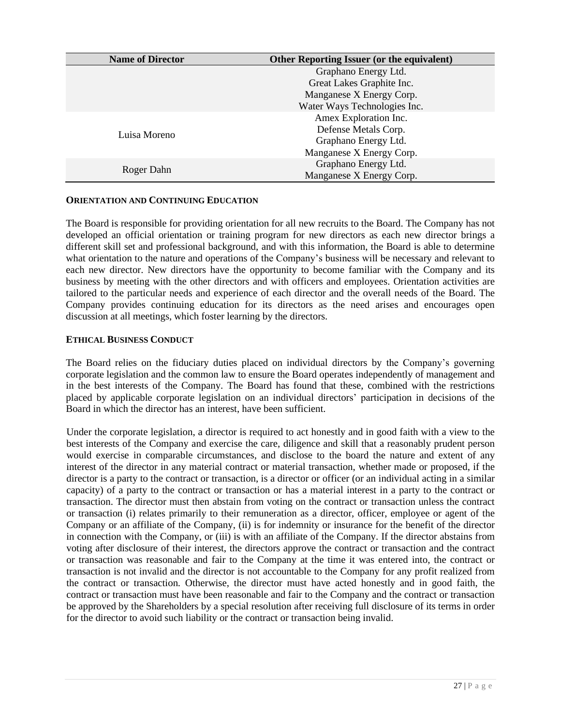| <b>Name of Director</b> | <b>Other Reporting Issuer (or the equivalent)</b> |  |  |
|-------------------------|---------------------------------------------------|--|--|
|                         | Graphano Energy Ltd.                              |  |  |
|                         | Great Lakes Graphite Inc.                         |  |  |
|                         | Manganese X Energy Corp.                          |  |  |
|                         | Water Ways Technologies Inc.                      |  |  |
|                         | Amex Exploration Inc.                             |  |  |
| Luisa Moreno            | Defense Metals Corp.                              |  |  |
|                         | Graphano Energy Ltd.                              |  |  |
|                         | Manganese X Energy Corp.                          |  |  |
|                         | Graphano Energy Ltd.                              |  |  |
| Roger Dahn              | Manganese X Energy Corp.                          |  |  |

### **ORIENTATION AND CONTINUING EDUCATION**

The Board is responsible for providing orientation for all new recruits to the Board. The Company has not developed an official orientation or training program for new directors as each new director brings a different skill set and professional background, and with this information, the Board is able to determine what orientation to the nature and operations of the Company's business will be necessary and relevant to each new director. New directors have the opportunity to become familiar with the Company and its business by meeting with the other directors and with officers and employees. Orientation activities are tailored to the particular needs and experience of each director and the overall needs of the Board. The Company provides continuing education for its directors as the need arises and encourages open discussion at all meetings, which foster learning by the directors.

### **ETHICAL BUSINESS CONDUCT**

The Board relies on the fiduciary duties placed on individual directors by the Company's governing corporate legislation and the common law to ensure the Board operates independently of management and in the best interests of the Company. The Board has found that these, combined with the restrictions placed by applicable corporate legislation on an individual directors' participation in decisions of the Board in which the director has an interest, have been sufficient.

Under the corporate legislation, a director is required to act honestly and in good faith with a view to the best interests of the Company and exercise the care, diligence and skill that a reasonably prudent person would exercise in comparable circumstances, and disclose to the board the nature and extent of any interest of the director in any material contract or material transaction, whether made or proposed, if the director is a party to the contract or transaction, is a director or officer (or an individual acting in a similar capacity) of a party to the contract or transaction or has a material interest in a party to the contract or transaction. The director must then abstain from voting on the contract or transaction unless the contract or transaction (i) relates primarily to their remuneration as a director, officer, employee or agent of the Company or an affiliate of the Company, (ii) is for indemnity or insurance for the benefit of the director in connection with the Company, or (iii) is with an affiliate of the Company. If the director abstains from voting after disclosure of their interest, the directors approve the contract or transaction and the contract or transaction was reasonable and fair to the Company at the time it was entered into, the contract or transaction is not invalid and the director is not accountable to the Company for any profit realized from the contract or transaction. Otherwise, the director must have acted honestly and in good faith, the contract or transaction must have been reasonable and fair to the Company and the contract or transaction be approved by the Shareholders by a special resolution after receiving full disclosure of its terms in order for the director to avoid such liability or the contract or transaction being invalid.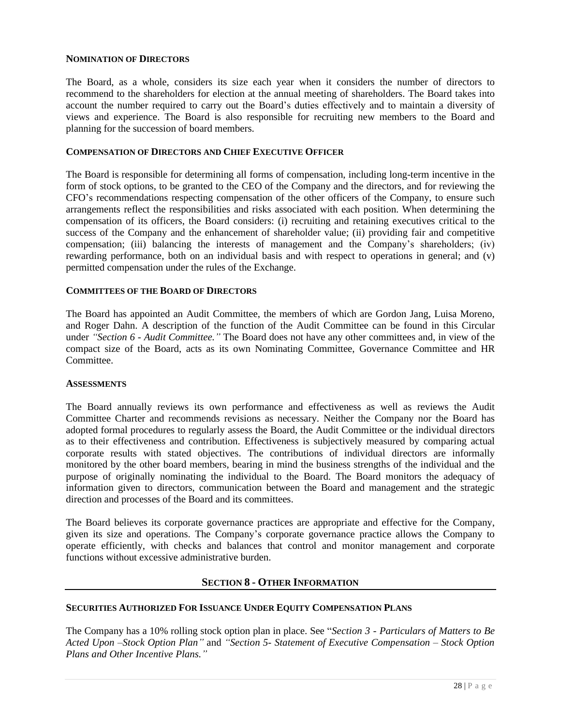### **NOMINATION OF DIRECTORS**

The Board, as a whole, considers its size each year when it considers the number of directors to recommend to the shareholders for election at the annual meeting of shareholders. The Board takes into account the number required to carry out the Board's duties effectively and to maintain a diversity of views and experience. The Board is also responsible for recruiting new members to the Board and planning for the succession of board members.

## **COMPENSATION OF DIRECTORS AND CHIEF EXECUTIVE OFFICER**

The Board is responsible for determining all forms of compensation, including long-term incentive in the form of stock options, to be granted to the CEO of the Company and the directors, and for reviewing the CFO's recommendations respecting compensation of the other officers of the Company, to ensure such arrangements reflect the responsibilities and risks associated with each position. When determining the compensation of its officers, the Board considers: (i) recruiting and retaining executives critical to the success of the Company and the enhancement of shareholder value; (ii) providing fair and competitive compensation; (iii) balancing the interests of management and the Company's shareholders; (iv) rewarding performance, both on an individual basis and with respect to operations in general; and (v) permitted compensation under the rules of the Exchange.

### **COMMITTEES OF THE BOARD OF DIRECTORS**

The Board has appointed an Audit Committee, the members of which are Gordon Jang, Luisa Moreno, and Roger Dahn. A description of the function of the Audit Committee can be found in this Circular under *"Section 6 - Audit Committee."* The Board does not have any other committees and, in view of the compact size of the Board, acts as its own Nominating Committee, Governance Committee and HR Committee.

### **ASSESSMENTS**

The Board annually reviews its own performance and effectiveness as well as reviews the Audit Committee Charter and recommends revisions as necessary. Neither the Company nor the Board has adopted formal procedures to regularly assess the Board, the Audit Committee or the individual directors as to their effectiveness and contribution. Effectiveness is subjectively measured by comparing actual corporate results with stated objectives. The contributions of individual directors are informally monitored by the other board members, bearing in mind the business strengths of the individual and the purpose of originally nominating the individual to the Board. The Board monitors the adequacy of information given to directors, communication between the Board and management and the strategic direction and processes of the Board and its committees.

The Board believes its corporate governance practices are appropriate and effective for the Company, given its size and operations. The Company's corporate governance practice allows the Company to operate efficiently, with checks and balances that control and monitor management and corporate functions without excessive administrative burden.

### **SECTION 8 - OTHER INFORMATION**

### **SECURITIES AUTHORIZED FOR ISSUANCE UNDER EQUITY COMPENSATION PLANS**

The Company has a 10% rolling stock option plan in place. See "*Section 3 - Particulars of Matters to Be Acted Upon –Stock Option Plan"* and *"Section 5- Statement of Executive Compensation – Stock Option Plans and Other Incentive Plans."*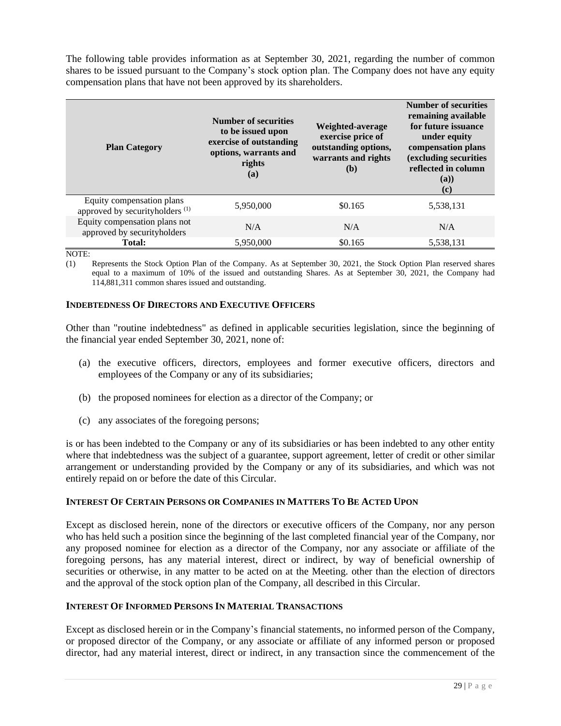The following table provides information as at September 30, 2021, regarding the number of common shares to be issued pursuant to the Company's stock option plan. The Company does not have any equity compensation plans that have not been approved by its shareholders.

| <b>Plan Category</b>                                                    | <b>Number of securities</b><br>to be issued upon<br>exercise of outstanding<br>options, warrants and<br>rights<br>(a) | Weighted-average<br>exercise price of<br>outstanding options,<br>warrants and rights<br>(b) | <b>Number of securities</b><br>remaining available<br>for future issuance<br>under equity<br>compensation plans<br>(excluding securities<br>reflected in column<br>(a)<br>(c) |
|-------------------------------------------------------------------------|-----------------------------------------------------------------------------------------------------------------------|---------------------------------------------------------------------------------------------|-------------------------------------------------------------------------------------------------------------------------------------------------------------------------------|
| Equity compensation plans<br>approved by securityholders <sup>(1)</sup> | 5,950,000                                                                                                             | \$0.165                                                                                     | 5,538,131                                                                                                                                                                     |
| Equity compensation plans not<br>approved by securityholders            | N/A                                                                                                                   | N/A                                                                                         | N/A                                                                                                                                                                           |
| <b>Total:</b>                                                           | 5,950,000                                                                                                             | \$0.165                                                                                     | 5,538,131                                                                                                                                                                     |

#### NOTE:

(1) Represents the Stock Option Plan of the Company. As at September 30, 2021, the Stock Option Plan reserved shares equal to a maximum of 10% of the issued and outstanding Shares. As at September 30, 2021, the Company had 114,881,311 common shares issued and outstanding.

### **INDEBTEDNESS OF DIRECTORS AND EXECUTIVE OFFICERS**

Other than "routine indebtedness" as defined in applicable securities legislation, since the beginning of the financial year ended September 30, 2021, none of:

- (a) the executive officers, directors, employees and former executive officers, directors and employees of the Company or any of its subsidiaries;
- (b) the proposed nominees for election as a director of the Company; or
- (c) any associates of the foregoing persons;

is or has been indebted to the Company or any of its subsidiaries or has been indebted to any other entity where that indebtedness was the subject of a guarantee, support agreement, letter of credit or other similar arrangement or understanding provided by the Company or any of its subsidiaries, and which was not entirely repaid on or before the date of this Circular.

### **INTEREST OF CERTAIN PERSONS OR COMPANIES IN MATTERS TO BE ACTED UPON**

Except as disclosed herein, none of the directors or executive officers of the Company, nor any person who has held such a position since the beginning of the last completed financial year of the Company, nor any proposed nominee for election as a director of the Company, nor any associate or affiliate of the foregoing persons, has any material interest, direct or indirect, by way of beneficial ownership of securities or otherwise, in any matter to be acted on at the Meeting. other than the election of directors and the approval of the stock option plan of the Company, all described in this Circular.

### **INTEREST OF INFORMED PERSONS IN MATERIAL TRANSACTIONS**

Except as disclosed herein or in the Company's financial statements, no informed person of the Company, or proposed director of the Company, or any associate or affiliate of any informed person or proposed director, had any material interest, direct or indirect, in any transaction since the commencement of the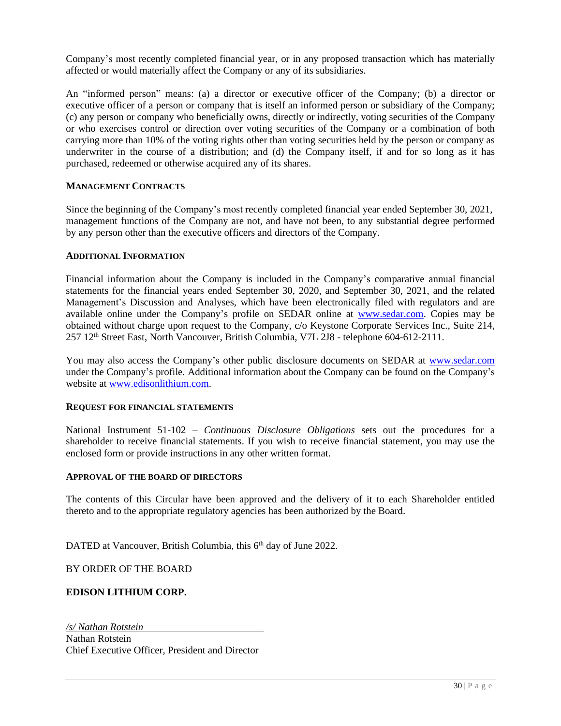Company's most recently completed financial year, or in any proposed transaction which has materially affected or would materially affect the Company or any of its subsidiaries.

An "informed person" means: (a) a director or executive officer of the Company; (b) a director or executive officer of a person or company that is itself an informed person or subsidiary of the Company; (c) any person or company who beneficially owns, directly or indirectly, voting securities of the Company or who exercises control or direction over voting securities of the Company or a combination of both carrying more than 10% of the voting rights other than voting securities held by the person or company as underwriter in the course of a distribution; and (d) the Company itself, if and for so long as it has purchased, redeemed or otherwise acquired any of its shares.

## **MANAGEMENT CONTRACTS**

Since the beginning of the Company's most recently completed financial year ended September 30, 2021, management functions of the Company are not, and have not been, to any substantial degree performed by any person other than the executive officers and directors of the Company.

### **ADDITIONAL INFORMATION**

Financial information about the Company is included in the Company's comparative annual financial statements for the financial years ended September 30, 2020, and September 30, 2021, and the related Management's Discussion and Analyses, which have been electronically filed with regulators and are available online under the Company's profile on SEDAR online at [www.sedar.com.](http://www.sedar.com/) Copies may be obtained without charge upon request to the Company, c/o Keystone Corporate Services Inc., Suite 214, 257 12<sup>th</sup> Street East, North Vancouver, British Columbia, V7L 2J8 - telephone 604-612-2111.

You may also access the Company's other public disclosure documents on SEDAR at [www.sedar.com](http://www.sedar.com/) under the Company's profile. Additional information about the Company can be found on the Company's website at [www.edisonlithium.com.](http://www.edisonlithium.com/)

#### **REQUEST FOR FINANCIAL STATEMENTS**

National Instrument 51-102 – *Continuous Disclosure Obligations* sets out the procedures for a shareholder to receive financial statements. If you wish to receive financial statement, you may use the enclosed form or provide instructions in any other written format.

#### **APPROVAL OF THE BOARD OF DIRECTORS**

The contents of this Circular have been approved and the delivery of it to each Shareholder entitled thereto and to the appropriate regulatory agencies has been authorized by the Board.

DATED at Vancouver, British Columbia, this 6<sup>th</sup> day of June 2022.

BY ORDER OF THE BOARD

### **EDISON LITHIUM CORP.**

*/s/ Nathan Rotstein* Nathan Rotstein Chief Executive Officer, President and Director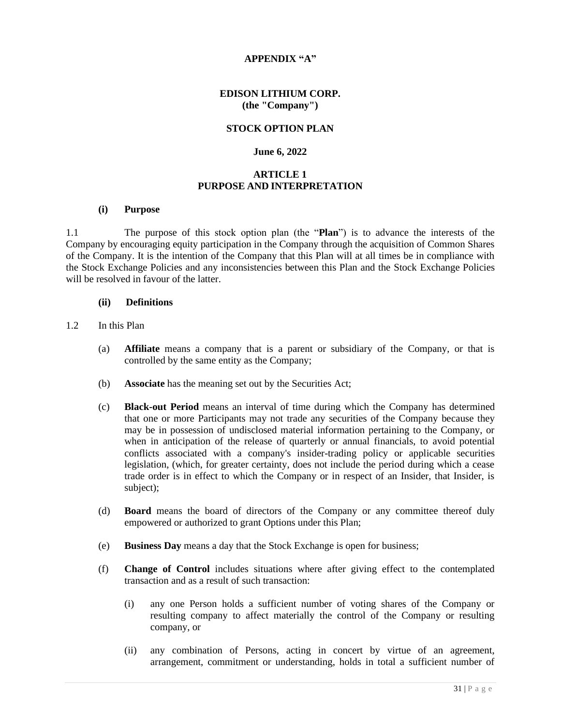## **APPENDIX "A"**

### **EDISON LITHIUM CORP. (the "Company")**

### **STOCK OPTION PLAN**

### **June 6, 2022**

## **ARTICLE 1 PURPOSE AND INTERPRETATION**

#### **(i) Purpose**

1.1 The purpose of this stock option plan (the "**Plan**") is to advance the interests of the Company by encouraging equity participation in the Company through the acquisition of Common Shares of the Company. It is the intention of the Company that this Plan will at all times be in compliance with the Stock Exchange Policies and any inconsistencies between this Plan and the Stock Exchange Policies will be resolved in favour of the latter.

#### **(ii) Definitions**

#### 1.2 In this Plan

- (a) **Affiliate** means a company that is a parent or subsidiary of the Company, or that is controlled by the same entity as the Company;
- (b) **Associate** has the meaning set out by the Securities Act;
- (c) **Black-out Period** means an interval of time during which the Company has determined that one or more Participants may not trade any securities of the Company because they may be in possession of undisclosed material information pertaining to the Company, or when in anticipation of the release of quarterly or annual financials, to avoid potential conflicts associated with a company's insider-trading policy or applicable securities legislation, (which, for greater certainty, does not include the period during which a cease trade order is in effect to which the Company or in respect of an Insider, that Insider, is subject);
- (d) **Board** means the board of directors of the Company or any committee thereof duly empowered or authorized to grant Options under this Plan;
- (e) **Business Day** means a day that the Stock Exchange is open for business;
- (f) **Change of Control** includes situations where after giving effect to the contemplated transaction and as a result of such transaction:
	- (i) any one Person holds a sufficient number of voting shares of the Company or resulting company to affect materially the control of the Company or resulting company, or
	- (ii) any combination of Persons, acting in concert by virtue of an agreement, arrangement, commitment or understanding, holds in total a sufficient number of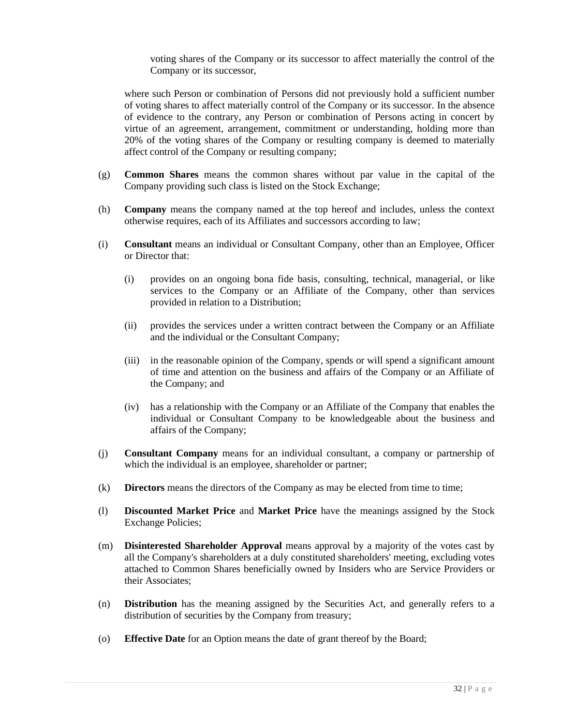voting shares of the Company or its successor to affect materially the control of the Company or its successor,

where such Person or combination of Persons did not previously hold a sufficient number of voting shares to affect materially control of the Company or its successor. In the absence of evidence to the contrary, any Person or combination of Persons acting in concert by virtue of an agreement, arrangement, commitment or understanding, holding more than 20% of the voting shares of the Company or resulting company is deemed to materially affect control of the Company or resulting company;

- (g) **Common Shares** means the common shares without par value in the capital of the Company providing such class is listed on the Stock Exchange;
- (h) **Company** means the company named at the top hereof and includes, unless the context otherwise requires, each of its Affiliates and successors according to law;
- (i) **Consultant** means an individual or Consultant Company, other than an Employee, Officer or Director that:
	- (i) provides on an ongoing bona fide basis, consulting, technical, managerial, or like services to the Company or an Affiliate of the Company, other than services provided in relation to a Distribution;
	- (ii) provides the services under a written contract between the Company or an Affiliate and the individual or the Consultant Company;
	- (iii) in the reasonable opinion of the Company, spends or will spend a significant amount of time and attention on the business and affairs of the Company or an Affiliate of the Company; and
	- (iv) has a relationship with the Company or an Affiliate of the Company that enables the individual or Consultant Company to be knowledgeable about the business and affairs of the Company;
- (j) **Consultant Company** means for an individual consultant, a company or partnership of which the individual is an employee, shareholder or partner;
- (k) **Directors** means the directors of the Company as may be elected from time to time;
- (l) **Discounted Market Price** and **Market Price** have the meanings assigned by the Stock Exchange Policies;
- (m) **Disinterested Shareholder Approval** means approval by a majority of the votes cast by all the Company's shareholders at a duly constituted shareholders' meeting, excluding votes attached to Common Shares beneficially owned by Insiders who are Service Providers or their Associates;
- (n) **Distribution** has the meaning assigned by the Securities Act, and generally refers to a distribution of securities by the Company from treasury;
- (o) **Effective Date** for an Option means the date of grant thereof by the Board;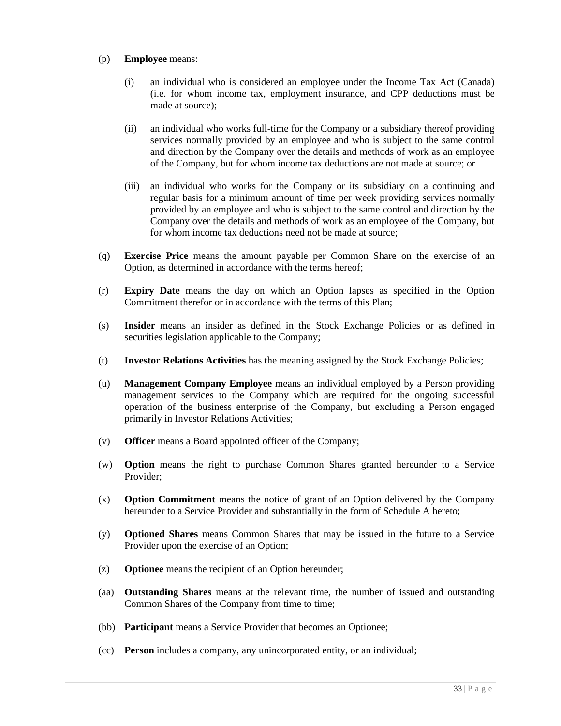### (p) **Employee** means:

- (i) an individual who is considered an employee under the Income Tax Act (Canada) (i.e. for whom income tax, employment insurance, and CPP deductions must be made at source);
- (ii) an individual who works full-time for the Company or a subsidiary thereof providing services normally provided by an employee and who is subject to the same control and direction by the Company over the details and methods of work as an employee of the Company, but for whom income tax deductions are not made at source; or
- (iii) an individual who works for the Company or its subsidiary on a continuing and regular basis for a minimum amount of time per week providing services normally provided by an employee and who is subject to the same control and direction by the Company over the details and methods of work as an employee of the Company, but for whom income tax deductions need not be made at source;
- (q) **Exercise Price** means the amount payable per Common Share on the exercise of an Option, as determined in accordance with the terms hereof;
- (r) **Expiry Date** means the day on which an Option lapses as specified in the Option Commitment therefor or in accordance with the terms of this Plan;
- (s) **Insider** means an insider as defined in the Stock Exchange Policies or as defined in securities legislation applicable to the Company;
- (t) **Investor Relations Activities** has the meaning assigned by the Stock Exchange Policies;
- (u) **Management Company Employee** means an individual employed by a Person providing management services to the Company which are required for the ongoing successful operation of the business enterprise of the Company, but excluding a Person engaged primarily in Investor Relations Activities;
- (v) **Officer** means a Board appointed officer of the Company;
- (w) **Option** means the right to purchase Common Shares granted hereunder to a Service Provider;
- (x) **Option Commitment** means the notice of grant of an Option delivered by the Company hereunder to a Service Provider and substantially in the form of Schedule A hereto;
- (y) **Optioned Shares** means Common Shares that may be issued in the future to a Service Provider upon the exercise of an Option;
- (z) **Optionee** means the recipient of an Option hereunder;
- (aa) **Outstanding Shares** means at the relevant time, the number of issued and outstanding Common Shares of the Company from time to time;
- (bb) **Participant** means a Service Provider that becomes an Optionee;
- (cc) **Person** includes a company, any unincorporated entity, or an individual;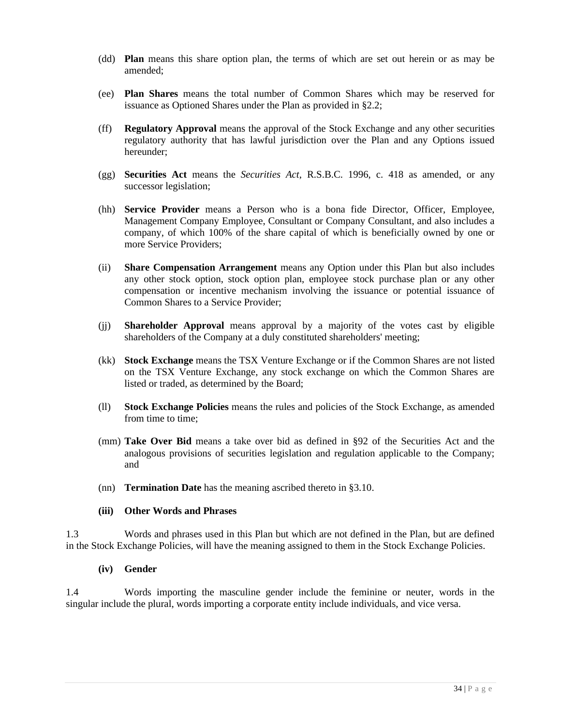- (dd) **Plan** means this share option plan, the terms of which are set out herein or as may be amended;
- (ee) **Plan Shares** means the total number of Common Shares which may be reserved for issuance as Optioned Shares under the Plan as provided in §2.2;
- (ff) **Regulatory Approval** means the approval of the Stock Exchange and any other securities regulatory authority that has lawful jurisdiction over the Plan and any Options issued hereunder;
- (gg) **Securities Act** means the *Securities Act*, R.S.B.C. 1996, c. 418 as amended, or any successor legislation;
- (hh) **Service Provider** means a Person who is a bona fide Director, Officer, Employee, Management Company Employee, Consultant or Company Consultant, and also includes a company, of which 100% of the share capital of which is beneficially owned by one or more Service Providers;
- (ii) **Share Compensation Arrangement** means any Option under this Plan but also includes any other stock option, stock option plan, employee stock purchase plan or any other compensation or incentive mechanism involving the issuance or potential issuance of Common Shares to a Service Provider;
- (jj) **Shareholder Approval** means approval by a majority of the votes cast by eligible shareholders of the Company at a duly constituted shareholders' meeting;
- (kk) **Stock Exchange** means the TSX Venture Exchange or if the Common Shares are not listed on the TSX Venture Exchange, any stock exchange on which the Common Shares are listed or traded, as determined by the Board;
- (ll) **Stock Exchange Policies** means the rules and policies of the Stock Exchange, as amended from time to time;
- (mm) **Take Over Bid** means a take over bid as defined in §92 of the Securities Act and the analogous provisions of securities legislation and regulation applicable to the Company; and
- (nn) **Termination Date** has the meaning ascribed thereto in §3.10.

### **(iii) Other Words and Phrases**

1.3 Words and phrases used in this Plan but which are not defined in the Plan, but are defined in the Stock Exchange Policies, will have the meaning assigned to them in the Stock Exchange Policies.

### **(iv) Gender**

1.4 Words importing the masculine gender include the feminine or neuter, words in the singular include the plural, words importing a corporate entity include individuals, and vice versa.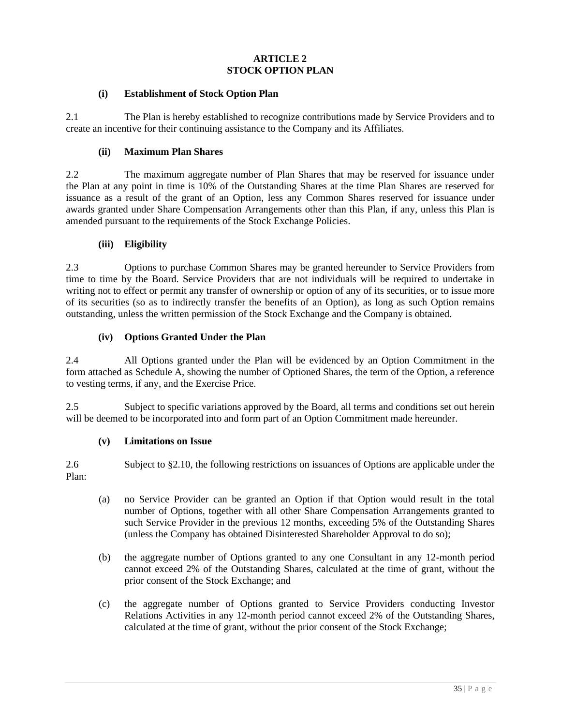# **ARTICLE 2 STOCK OPTION PLAN**

### **(i) Establishment of Stock Option Plan**

2.1 The Plan is hereby established to recognize contributions made by Service Providers and to create an incentive for their continuing assistance to the Company and its Affiliates.

### **(ii) Maximum Plan Shares**

2.2 The maximum aggregate number of Plan Shares that may be reserved for issuance under the Plan at any point in time is 10% of the Outstanding Shares at the time Plan Shares are reserved for issuance as a result of the grant of an Option, less any Common Shares reserved for issuance under awards granted under Share Compensation Arrangements other than this Plan, if any, unless this Plan is amended pursuant to the requirements of the Stock Exchange Policies.

### **(iii) Eligibility**

2.3 Options to purchase Common Shares may be granted hereunder to Service Providers from time to time by the Board. Service Providers that are not individuals will be required to undertake in writing not to effect or permit any transfer of ownership or option of any of its securities, or to issue more of its securities (so as to indirectly transfer the benefits of an Option), as long as such Option remains outstanding, unless the written permission of the Stock Exchange and the Company is obtained.

### **(iv) Options Granted Under the Plan**

2.4 All Options granted under the Plan will be evidenced by an Option Commitment in the form attached as Schedule A, showing the number of Optioned Shares, the term of the Option, a reference to vesting terms, if any, and the Exercise Price.

2.5 Subject to specific variations approved by the Board, all terms and conditions set out herein will be deemed to be incorporated into and form part of an Option Commitment made hereunder.

#### **(v) Limitations on Issue**

2.6 Subject to §2.10, the following restrictions on issuances of Options are applicable under the Plan:

- (a) no Service Provider can be granted an Option if that Option would result in the total number of Options, together with all other Share Compensation Arrangements granted to such Service Provider in the previous 12 months, exceeding 5% of the Outstanding Shares (unless the Company has obtained Disinterested Shareholder Approval to do so);
- (b) the aggregate number of Options granted to any one Consultant in any 12-month period cannot exceed 2% of the Outstanding Shares, calculated at the time of grant, without the prior consent of the Stock Exchange; and
- (c) the aggregate number of Options granted to Service Providers conducting Investor Relations Activities in any 12-month period cannot exceed 2% of the Outstanding Shares, calculated at the time of grant, without the prior consent of the Stock Exchange;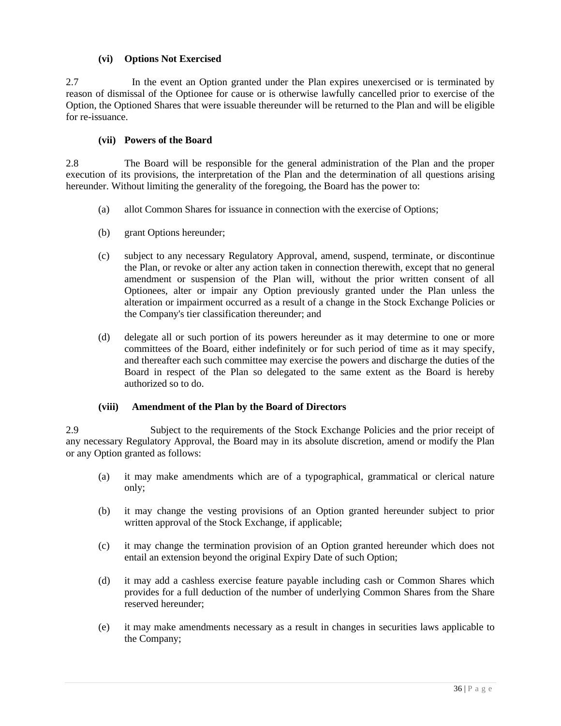## **(vi) Options Not Exercised**

2.7 In the event an Option granted under the Plan expires unexercised or is terminated by reason of dismissal of the Optionee for cause or is otherwise lawfully cancelled prior to exercise of the Option, the Optioned Shares that were issuable thereunder will be returned to the Plan and will be eligible for re-issuance.

### **(vii) Powers of the Board**

2.8 The Board will be responsible for the general administration of the Plan and the proper execution of its provisions, the interpretation of the Plan and the determination of all questions arising hereunder. Without limiting the generality of the foregoing, the Board has the power to:

- (a) allot Common Shares for issuance in connection with the exercise of Options;
- (b) grant Options hereunder;
- (c) subject to any necessary Regulatory Approval, amend, suspend, terminate, or discontinue the Plan, or revoke or alter any action taken in connection therewith, except that no general amendment or suspension of the Plan will, without the prior written consent of all Optionees, alter or impair any Option previously granted under the Plan unless the alteration or impairment occurred as a result of a change in the Stock Exchange Policies or the Company's tier classification thereunder; and
- (d) delegate all or such portion of its powers hereunder as it may determine to one or more committees of the Board, either indefinitely or for such period of time as it may specify, and thereafter each such committee may exercise the powers and discharge the duties of the Board in respect of the Plan so delegated to the same extent as the Board is hereby authorized so to do.

### **(viii) Amendment of the Plan by the Board of Directors**

2.9 Subject to the requirements of the Stock Exchange Policies and the prior receipt of any necessary Regulatory Approval, the Board may in its absolute discretion, amend or modify the Plan or any Option granted as follows:

- (a) it may make amendments which are of a typographical, grammatical or clerical nature only;
- (b) it may change the vesting provisions of an Option granted hereunder subject to prior written approval of the Stock Exchange, if applicable;
- (c) it may change the termination provision of an Option granted hereunder which does not entail an extension beyond the original Expiry Date of such Option;
- (d) it may add a cashless exercise feature payable including cash or Common Shares which provides for a full deduction of the number of underlying Common Shares from the Share reserved hereunder;
- (e) it may make amendments necessary as a result in changes in securities laws applicable to the Company;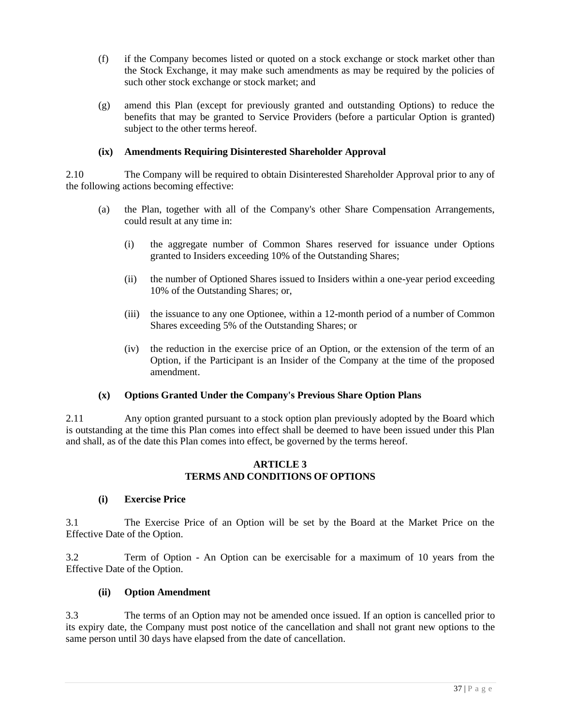- (f) if the Company becomes listed or quoted on a stock exchange or stock market other than the Stock Exchange, it may make such amendments as may be required by the policies of such other stock exchange or stock market; and
- (g) amend this Plan (except for previously granted and outstanding Options) to reduce the benefits that may be granted to Service Providers (before a particular Option is granted) subject to the other terms hereof.

# **(ix) Amendments Requiring Disinterested Shareholder Approval**

2.10 The Company will be required to obtain Disinterested Shareholder Approval prior to any of the following actions becoming effective:

- (a) the Plan, together with all of the Company's other Share Compensation Arrangements, could result at any time in:
	- (i) the aggregate number of Common Shares reserved for issuance under Options granted to Insiders exceeding 10% of the Outstanding Shares;
	- (ii) the number of Optioned Shares issued to Insiders within a one-year period exceeding 10% of the Outstanding Shares; or,
	- (iii) the issuance to any one Optionee, within a 12-month period of a number of Common Shares exceeding 5% of the Outstanding Shares; or
	- (iv) the reduction in the exercise price of an Option, or the extension of the term of an Option, if the Participant is an Insider of the Company at the time of the proposed amendment.

### **(x) Options Granted Under the Company's Previous Share Option Plans**

2.11 Any option granted pursuant to a stock option plan previously adopted by the Board which is outstanding at the time this Plan comes into effect shall be deemed to have been issued under this Plan and shall, as of the date this Plan comes into effect, be governed by the terms hereof.

### **ARTICLE 3 TERMS AND CONDITIONS OF OPTIONS**

### **(i) Exercise Price**

3.1 The Exercise Price of an Option will be set by the Board at the Market Price on the Effective Date of the Option.

3.2 Term of Option - An Option can be exercisable for a maximum of 10 years from the Effective Date of the Option.

#### **(ii) Option Amendment**

3.3 The terms of an Option may not be amended once issued. If an option is cancelled prior to its expiry date, the Company must post notice of the cancellation and shall not grant new options to the same person until 30 days have elapsed from the date of cancellation.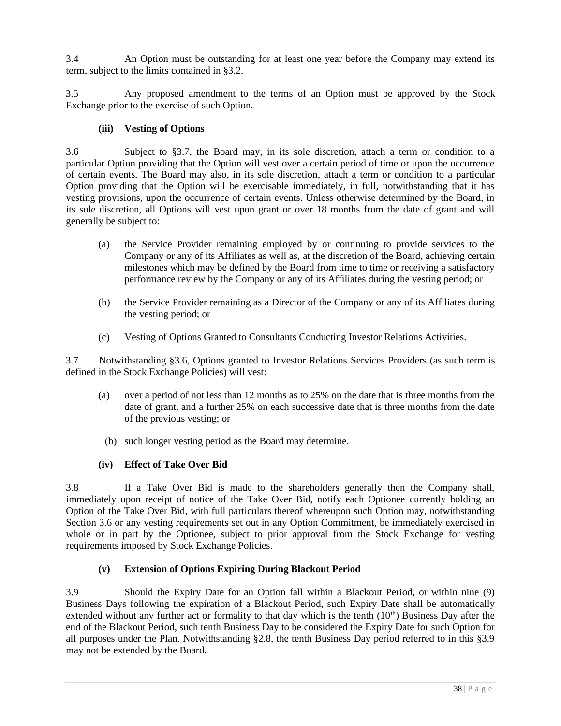3.4 An Option must be outstanding for at least one year before the Company may extend its term, subject to the limits contained in §3.2.

3.5 Any proposed amendment to the terms of an Option must be approved by the Stock Exchange prior to the exercise of such Option.

# **(iii) Vesting of Options**

3.6 Subject to §3.7, the Board may, in its sole discretion, attach a term or condition to a particular Option providing that the Option will vest over a certain period of time or upon the occurrence of certain events. The Board may also, in its sole discretion, attach a term or condition to a particular Option providing that the Option will be exercisable immediately, in full, notwithstanding that it has vesting provisions, upon the occurrence of certain events. Unless otherwise determined by the Board, in its sole discretion, all Options will vest upon grant or over 18 months from the date of grant and will generally be subject to:

- (a) the Service Provider remaining employed by or continuing to provide services to the Company or any of its Affiliates as well as, at the discretion of the Board, achieving certain milestones which may be defined by the Board from time to time or receiving a satisfactory performance review by the Company or any of its Affiliates during the vesting period; or
- (b) the Service Provider remaining as a Director of the Company or any of its Affiliates during the vesting period; or
- (c) Vesting of Options Granted to Consultants Conducting Investor Relations Activities.

3.7 Notwithstanding §3.6, Options granted to Investor Relations Services Providers (as such term is defined in the Stock Exchange Policies) will vest:

- (a) over a period of not less than 12 months as to 25% on the date that is three months from the date of grant, and a further 25% on each successive date that is three months from the date of the previous vesting; or
	- (b) such longer vesting period as the Board may determine.

# **(iv) Effect of Take Over Bid**

3.8 If a Take Over Bid is made to the shareholders generally then the Company shall, immediately upon receipt of notice of the Take Over Bid, notify each Optionee currently holding an Option of the Take Over Bid, with full particulars thereof whereupon such Option may, notwithstanding Section 3.6 or any vesting requirements set out in any Option Commitment, be immediately exercised in whole or in part by the Optionee, subject to prior approval from the Stock Exchange for vesting requirements imposed by Stock Exchange Policies.

# **(v) Extension of Options Expiring During Blackout Period**

3.9 Should the Expiry Date for an Option fall within a Blackout Period, or within nine (9) Business Days following the expiration of a Blackout Period, such Expiry Date shall be automatically extended without any further act or formality to that day which is the tenth  $(10<sup>th</sup>)$  Business Day after the end of the Blackout Period, such tenth Business Day to be considered the Expiry Date for such Option for all purposes under the Plan. Notwithstanding §2.8, the tenth Business Day period referred to in this §3.9 may not be extended by the Board.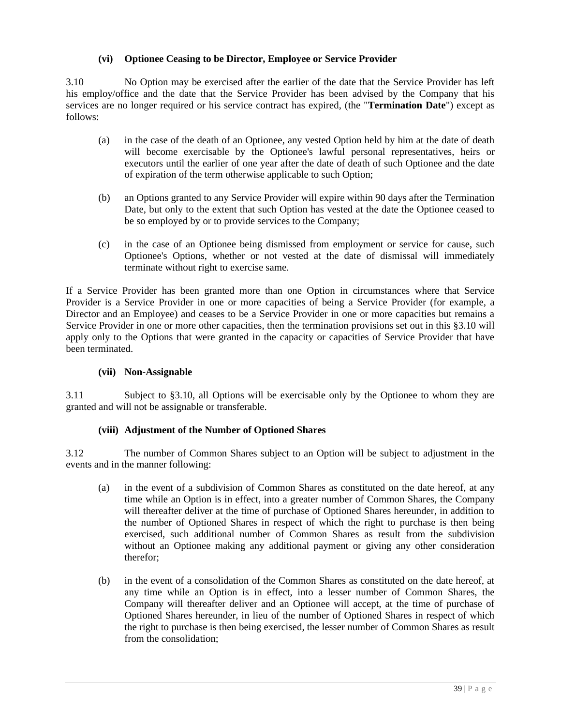## **(vi) Optionee Ceasing to be Director, Employee or Service Provider**

3.10 No Option may be exercised after the earlier of the date that the Service Provider has left his employ/office and the date that the Service Provider has been advised by the Company that his services are no longer required or his service contract has expired, (the "**Termination Date**") except as follows:

- (a) in the case of the death of an Optionee, any vested Option held by him at the date of death will become exercisable by the Optionee's lawful personal representatives, heirs or executors until the earlier of one year after the date of death of such Optionee and the date of expiration of the term otherwise applicable to such Option;
- (b) an Options granted to any Service Provider will expire within 90 days after the Termination Date, but only to the extent that such Option has vested at the date the Optionee ceased to be so employed by or to provide services to the Company;
- (c) in the case of an Optionee being dismissed from employment or service for cause, such Optionee's Options, whether or not vested at the date of dismissal will immediately terminate without right to exercise same.

If a Service Provider has been granted more than one Option in circumstances where that Service Provider is a Service Provider in one or more capacities of being a Service Provider (for example, a Director and an Employee) and ceases to be a Service Provider in one or more capacities but remains a Service Provider in one or more other capacities, then the termination provisions set out in this §3.10 will apply only to the Options that were granted in the capacity or capacities of Service Provider that have been terminated.

### **(vii) Non-Assignable**

3.11 Subject to §3.10, all Options will be exercisable only by the Optionee to whom they are granted and will not be assignable or transferable.

### **(viii) Adjustment of the Number of Optioned Shares**

3.12 The number of Common Shares subject to an Option will be subject to adjustment in the events and in the manner following:

- (a) in the event of a subdivision of Common Shares as constituted on the date hereof, at any time while an Option is in effect, into a greater number of Common Shares, the Company will thereafter deliver at the time of purchase of Optioned Shares hereunder, in addition to the number of Optioned Shares in respect of which the right to purchase is then being exercised, such additional number of Common Shares as result from the subdivision without an Optionee making any additional payment or giving any other consideration therefor;
- (b) in the event of a consolidation of the Common Shares as constituted on the date hereof, at any time while an Option is in effect, into a lesser number of Common Shares, the Company will thereafter deliver and an Optionee will accept, at the time of purchase of Optioned Shares hereunder, in lieu of the number of Optioned Shares in respect of which the right to purchase is then being exercised, the lesser number of Common Shares as result from the consolidation;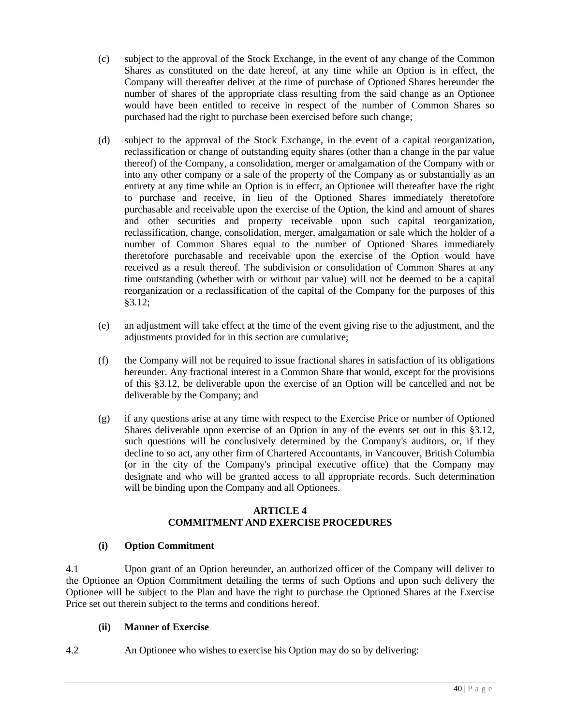- (c) subject to the approval of the Stock Exchange, in the event of any change of the Common Shares as constituted on the date hereof, at any time while an Option is in effect, the Company will thereafter deliver at the time of purchase of Optioned Shares hereunder the number of shares of the appropriate class resulting from the said change as an Optionee would have been entitled to receive in respect of the number of Common Shares so purchased had the right to purchase been exercised before such change;
- (d) subject to the approval of the Stock Exchange, in the event of a capital reorganization, reclassification or change of outstanding equity shares (other than a change in the par value thereof) of the Company, a consolidation, merger or amalgamation of the Company with or into any other company or a sale of the property of the Company as or substantially as an entirety at any time while an Option is in effect, an Optionee will thereafter have the right to purchase and receive, in lieu of the Optioned Shares immediately theretofore purchasable and receivable upon the exercise of the Option, the kind and amount of shares and other securities and property receivable upon such capital reorganization, reclassification, change, consolidation, merger, amalgamation or sale which the holder of a number of Common Shares equal to the number of Optioned Shares immediately theretofore purchasable and receivable upon the exercise of the Option would have received as a result thereof. The subdivision or consolidation of Common Shares at any time outstanding (whether with or without par value) will not be deemed to be a capital reorganization or a reclassification of the capital of the Company for the purposes of this §3.12;
- (e) an adjustment will take effect at the time of the event giving rise to the adjustment, and the adjustments provided for in this section are cumulative;
- (f) the Company will not be required to issue fractional shares in satisfaction of its obligations hereunder. Any fractional interest in a Common Share that would, except for the provisions of this §3.12, be deliverable upon the exercise of an Option will be cancelled and not be deliverable by the Company; and
- (g) if any questions arise at any time with respect to the Exercise Price or number of Optioned Shares deliverable upon exercise of an Option in any of the events set out in this §3.12, such questions will be conclusively determined by the Company's auditors, or, if they decline to so act, any other firm of Chartered Accountants, in Vancouver, British Columbia (or in the city of the Company's principal executive office) that the Company may designate and who will be granted access to all appropriate records. Such determination will be binding upon the Company and all Optionees.

### **ARTICLE 4 COMMITMENT AND EXERCISE PROCEDURES**

### **(i) Option Commitment**

4.1 Upon grant of an Option hereunder, an authorized officer of the Company will deliver to the Optionee an Option Commitment detailing the terms of such Options and upon such delivery the Optionee will be subject to the Plan and have the right to purchase the Optioned Shares at the Exercise Price set out therein subject to the terms and conditions hereof.

# **(ii) Manner of Exercise**

4.2 An Optionee who wishes to exercise his Option may do so by delivering: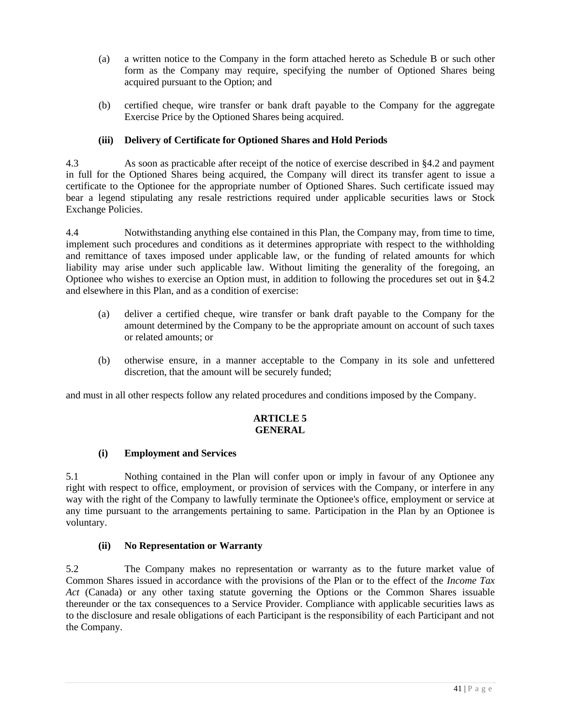- (a) a written notice to the Company in the form attached hereto as Schedule B or such other form as the Company may require, specifying the number of Optioned Shares being acquired pursuant to the Option; and
- (b) certified cheque, wire transfer or bank draft payable to the Company for the aggregate Exercise Price by the Optioned Shares being acquired.

# **(iii) Delivery of Certificate for Optioned Shares and Hold Periods**

4.3 As soon as practicable after receipt of the notice of exercise described in §4.2 and payment in full for the Optioned Shares being acquired, the Company will direct its transfer agent to issue a certificate to the Optionee for the appropriate number of Optioned Shares. Such certificate issued may bear a legend stipulating any resale restrictions required under applicable securities laws or Stock Exchange Policies.

4.4 Notwithstanding anything else contained in this Plan, the Company may, from time to time, implement such procedures and conditions as it determines appropriate with respect to the withholding and remittance of taxes imposed under applicable law, or the funding of related amounts for which liability may arise under such applicable law. Without limiting the generality of the foregoing, an Optionee who wishes to exercise an Option must, in addition to following the procedures set out in §4.2 and elsewhere in this Plan, and as a condition of exercise:

- (a) deliver a certified cheque, wire transfer or bank draft payable to the Company for the amount determined by the Company to be the appropriate amount on account of such taxes or related amounts; or
- (b) otherwise ensure, in a manner acceptable to the Company in its sole and unfettered discretion, that the amount will be securely funded;

and must in all other respects follow any related procedures and conditions imposed by the Company.

### **ARTICLE 5 GENERAL**

# **(i) Employment and Services**

5.1 Nothing contained in the Plan will confer upon or imply in favour of any Optionee any right with respect to office, employment, or provision of services with the Company, or interfere in any way with the right of the Company to lawfully terminate the Optionee's office, employment or service at any time pursuant to the arrangements pertaining to same. Participation in the Plan by an Optionee is voluntary.

### **(ii) No Representation or Warranty**

5.2 The Company makes no representation or warranty as to the future market value of Common Shares issued in accordance with the provisions of the Plan or to the effect of the *Income Tax Act* (Canada) or any other taxing statute governing the Options or the Common Shares issuable thereunder or the tax consequences to a Service Provider. Compliance with applicable securities laws as to the disclosure and resale obligations of each Participant is the responsibility of each Participant and not the Company.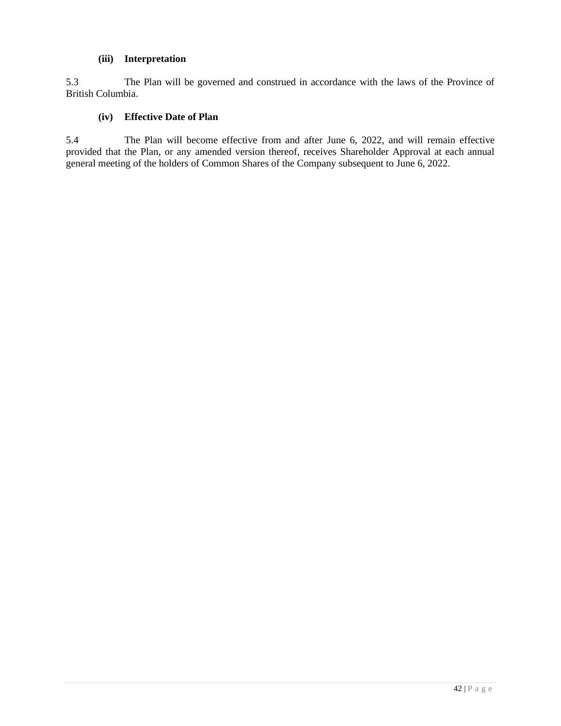### **(iii) Interpretation**

5.3 The Plan will be governed and construed in accordance with the laws of the Province of British Columbia.

## **(iv) Effective Date of Plan**

5.4 The Plan will become effective from and after June 6, 2022, and will remain effective provided that the Plan, or any amended version thereof, receives Shareholder Approval at each annual general meeting of the holders of Common Shares of the Company subsequent to June 6, 2022.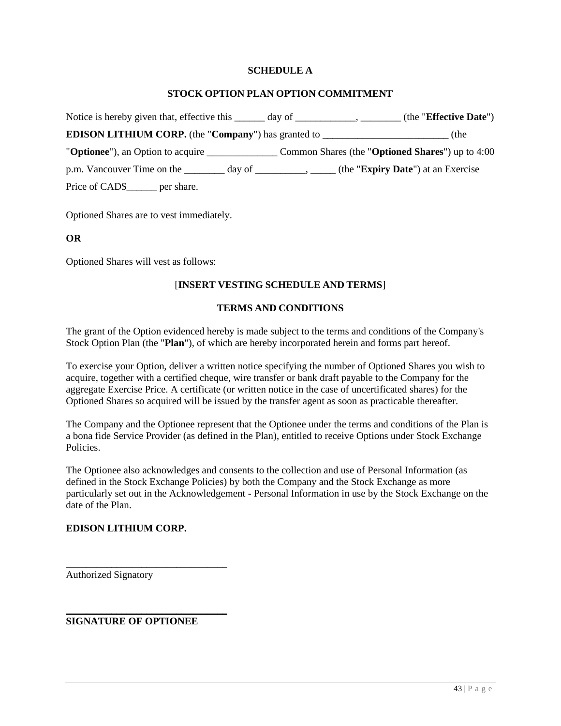### **SCHEDULE A**

#### **STOCK OPTION PLAN OPTION COMMITMENT**

| Notice is hereby given that, effective this $\qquad \qquad \text{day of} \qquad \qquad \text{.}$ | (the "Effective Date") |
|--------------------------------------------------------------------------------------------------|------------------------|
| <b>EDISON LITHIUM CORP.</b> (the "Company") has granted to ____________________________          | (the                   |
|                                                                                                  |                        |
|                                                                                                  |                        |
| Price of CAD\$ per share.                                                                        |                        |

Optioned Shares are to vest immediately.

### **OR**

Optioned Shares will vest as follows:

### [**INSERT VESTING SCHEDULE AND TERMS**]

#### **TERMS AND CONDITIONS**

The grant of the Option evidenced hereby is made subject to the terms and conditions of the Company's Stock Option Plan (the "**Plan**"), of which are hereby incorporated herein and forms part hereof.

To exercise your Option, deliver a written notice specifying the number of Optioned Shares you wish to acquire, together with a certified cheque, wire transfer or bank draft payable to the Company for the aggregate Exercise Price. A certificate (or written notice in the case of uncertificated shares) for the Optioned Shares so acquired will be issued by the transfer agent as soon as practicable thereafter.

The Company and the Optionee represent that the Optionee under the terms and conditions of the Plan is a bona fide Service Provider (as defined in the Plan), entitled to receive Options under Stock Exchange Policies.

The Optionee also acknowledges and consents to the collection and use of Personal Information (as defined in the Stock Exchange Policies) by both the Company and the Stock Exchange as more particularly set out in the Acknowledgement - Personal Information in use by the Stock Exchange on the date of the Plan.

## **EDISON LITHIUM CORP.**

Authorized Signatory

**SIGNATURE OF OPTIONEE** 

\_\_\_\_\_\_\_\_\_\_\_\_\_\_\_\_\_\_\_\_\_\_\_\_\_\_\_\_\_\_\_\_

\_\_\_\_\_\_\_\_\_\_\_\_\_\_\_\_\_\_\_\_\_\_\_\_\_\_\_\_\_\_\_\_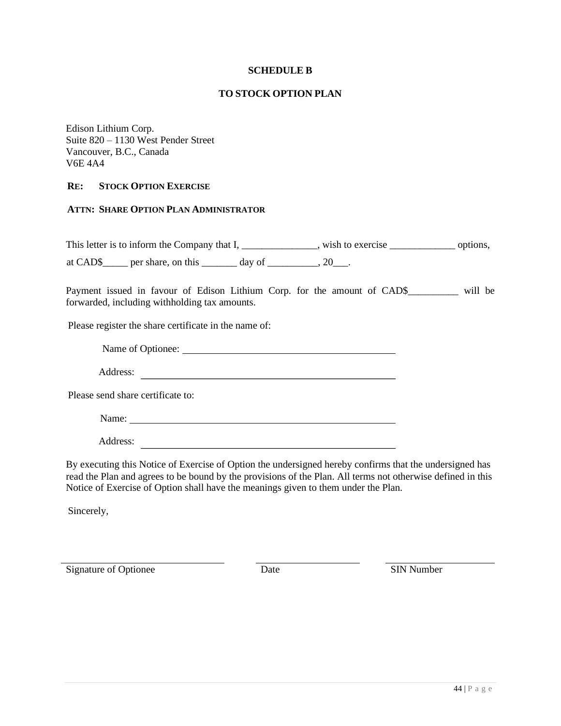### **SCHEDULE B**

#### **TO STOCK OPTION PLAN**

Edison Lithium Corp. Suite 820 – 1130 West Pender Street Vancouver, B.C., Canada V6E 4A4

### **RE: STOCK OPTION EXERCISE**

#### **ATTN: SHARE OPTION PLAN ADMINISTRATOR**

This letter is to inform the Company that I, \_\_\_\_\_\_\_\_\_\_\_\_\_, wish to exercise \_\_\_\_\_\_\_\_\_\_\_\_\_\_\_\_\_ options,

at CAD\$\_\_\_\_\_ per share, on this  $\_\_\_\_$  day of  $\_\_\_\_\_$ , 20 $\_\_\_\_\$ .

Payment issued in favour of Edison Lithium Corp. for the amount of CAD\$\_\_\_\_\_\_\_\_\_ will be forwarded, including withholding tax amounts.

Please register the share certificate in the name of:

Name of Optionee:

Address:

Please send share certificate to:

Name:

Address:

By executing this Notice of Exercise of Option the undersigned hereby confirms that the undersigned has read the Plan and agrees to be bound by the provisions of the Plan. All terms not otherwise defined in this Notice of Exercise of Option shall have the meanings given to them under the Plan.

Sincerely,

Signature of Optionee Date Date SIN Number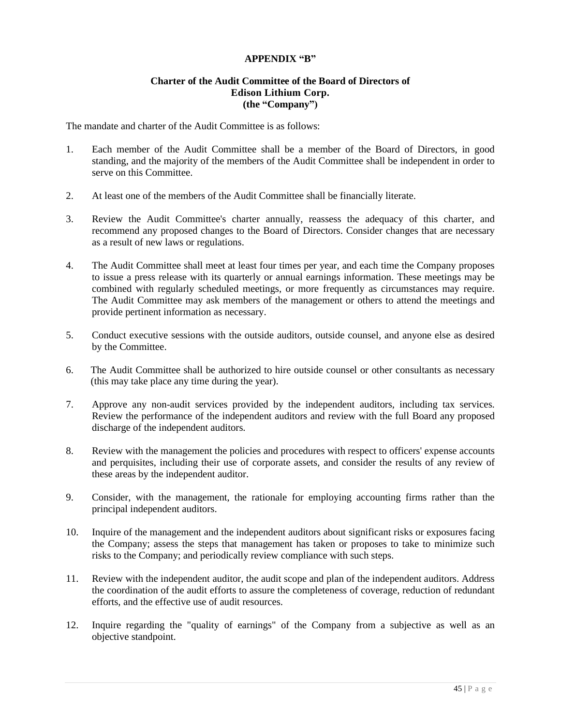### **APPENDIX "B"**

#### **Charter of the Audit Committee of the Board of Directors of Edison Lithium Corp. (the "Company")**

The mandate and charter of the Audit Committee is as follows:

- 1. Each member of the Audit Committee shall be a member of the Board of Directors, in good standing, and the majority of the members of the Audit Committee shall be independent in order to serve on this Committee.
- 2. At least one of the members of the Audit Committee shall be financially literate.
- 3. Review the Audit Committee's charter annually, reassess the adequacy of this charter, and recommend any proposed changes to the Board of Directors. Consider changes that are necessary as a result of new laws or regulations.
- 4. The Audit Committee shall meet at least four times per year, and each time the Company proposes to issue a press release with its quarterly or annual earnings information. These meetings may be combined with regularly scheduled meetings, or more frequently as circumstances may require. The Audit Committee may ask members of the management or others to attend the meetings and provide pertinent information as necessary.
- 5. Conduct executive sessions with the outside auditors, outside counsel, and anyone else as desired by the Committee.
- 6. The Audit Committee shall be authorized to hire outside counsel or other consultants as necessary (this may take place any time during the year).
- 7. Approve any non‐audit services provided by the independent auditors, including tax services. Review the performance of the independent auditors and review with the full Board any proposed discharge of the independent auditors.
- 8. Review with the management the policies and procedures with respect to officers' expense accounts and perquisites, including their use of corporate assets, and consider the results of any review of these areas by the independent auditor.
- 9. Consider, with the management, the rationale for employing accounting firms rather than the principal independent auditors.
- 10. Inquire of the management and the independent auditors about significant risks or exposures facing the Company; assess the steps that management has taken or proposes to take to minimize such risks to the Company; and periodically review compliance with such steps.
- 11. Review with the independent auditor, the audit scope and plan of the independent auditors. Address the coordination of the audit efforts to assure the completeness of coverage, reduction of redundant efforts, and the effective use of audit resources.
- 12. Inquire regarding the "quality of earnings" of the Company from a subjective as well as an objective standpoint.